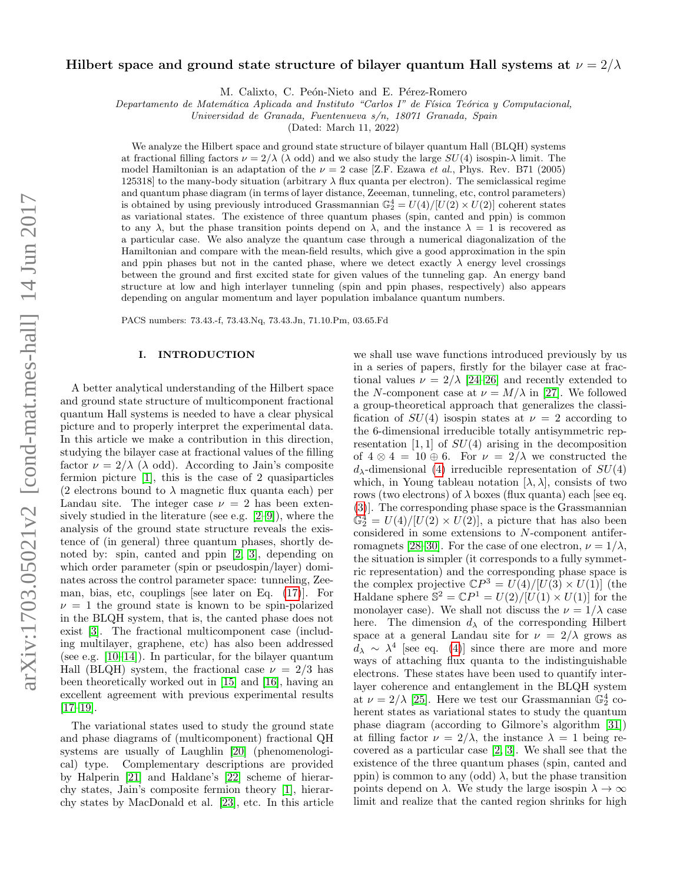# Hilbert space and ground state structure of bilayer quantum Hall systems at  $\nu = 2/\lambda$

M. Calixto, C. Peón-Nieto and E. Pérez-Romero

Departamento de Matemática Aplicada and Instituto "Carlos I" de Física Teórica y Computacional,

Universidad de Granada, Fuentenueva s/n, 18071 Granada, Spain

(Dated: March 11, 2022)

We analyze the Hilbert space and ground state structure of bilayer quantum Hall (BLQH) systems at fractional filling factors  $\nu = 2/\lambda$  ( $\lambda$  odd) and we also study the large  $SU(4)$  isospin- $\lambda$  limit. The model Hamiltonian is an adaptation of the  $\nu = 2$  case [Z.F. Ezawa *et al.*, Phys. Rev. B71 (2005) 125318] to the many-body situation (arbitrary  $\lambda$  flux quanta per electron). The semiclassical regime and quantum phase diagram (in terms of layer distance, Zeeeman, tunneling, etc, control parameters) is obtained by using previously introduced Grassmannian  $\mathbb{G}_2^4 = U(4)/[U(2) \times U(2)]$  coherent states as variational states. The existence of three quantum phases (spin, canted and ppin) is common to any  $\lambda$ , but the phase transition points depend on  $\lambda$ , and the instance  $\lambda = 1$  is recovered as a particular case. We also analyze the quantum case through a numerical diagonalization of the Hamiltonian and compare with the mean-field results, which give a good approximation in the spin and ppin phases but not in the canted phase, where we detect exactly  $\lambda$  energy level crossings between the ground and first excited state for given values of the tunneling gap. An energy band structure at low and high interlayer tunneling (spin and ppin phases, respectively) also appears depending on angular momentum and layer population imbalance quantum numbers.

PACS numbers: 73.43.-f, 73.43.Nq, 73.43.Jn, 71.10.Pm, 03.65.Fd

#### I. INTRODUCTION

A better analytical understanding of the Hilbert space and ground state structure of multicomponent fractional quantum Hall systems is needed to have a clear physical picture and to properly interpret the experimental data. In this article we make a contribution in this direction, studying the bilayer case at fractional values of the filling factor  $\nu = 2/\lambda$  ( $\lambda$  odd). According to Jain's composite fermion picture [\[1\]](#page-10-0), this is the case of 2 quasiparticles (2 electrons bound to  $\lambda$  magnetic flux quanta each) per Landau site. The integer case  $\nu = 2$  has been extensively studied in the literature (see e.g. [\[2](#page-10-1)[–9\]](#page-10-2)), where the analysis of the ground state structure reveals the existence of (in general) three quantum phases, shortly denoted by: spin, canted and ppin [\[2,](#page-10-1) [3\]](#page-10-3), depending on which order parameter (spin or pseudospin/layer) dominates across the control parameter space: tunneling, Zeeman, bias, etc, couplings [see later on Eq. [\(17\)](#page-3-0)]. For  $\nu = 1$  the ground state is known to be spin-polarized in the BLQH system, that is, the canted phase does not exist [\[3\]](#page-10-3). The fractional multicomponent case (including multilayer, graphene, etc) has also been addressed (see e.g. [\[10–](#page-10-4)[14\]](#page-10-5)). In particular, for the bilayer quantum Hall (BLQH) system, the fractional case  $\nu = 2/3$  has been theoretically worked out in [\[15\]](#page-10-6) and [\[16\]](#page-10-7), having an excellent agreement with previous experimental results [\[17–](#page-10-8)[19\]](#page-10-9).

The variational states used to study the ground state and phase diagrams of (multicomponent) fractional QH systems are usually of Laughlin [\[20\]](#page-10-10) (phenomenological) type. Complementary descriptions are provided by Halperin [\[21\]](#page-10-11) and Haldane's [\[22\]](#page-10-12) scheme of hierarchy states, Jain's composite fermion theory [\[1\]](#page-10-0), hierarchy states by MacDonald et al. [\[23\]](#page-11-0), etc. In this article

we shall use wave functions introduced previously by us in a series of papers, firstly for the bilayer case at fractional values  $\nu = 2/\lambda$  [\[24](#page-11-1)[–26\]](#page-11-2) and recently extended to the N-component case at  $\nu = M/\lambda$  in [\[27\]](#page-11-3). We followed a group-theoretical approach that generalizes the classification of  $SU(4)$  isospin states at  $\nu = 2$  according to the 6-dimensional irreducible totally antisymmetric representation [1, 1] of  $SU(4)$  arising in the decomposition of  $4 \otimes 4 = 10 \oplus 6$ . For  $\nu = 2/\lambda$  we constructed the  $d_{\lambda}$ -dimensional [\(4\)](#page-1-0) irreducible representation of  $SU(4)$ which, in Young tableau notation  $[\lambda, \lambda]$ , consists of two rows (two electrons) of  $\lambda$  boxes (flux quanta) each [see eq. [\(3\)](#page-1-1)]. The corresponding phase space is the Grassmannian  $\mathbb{G}_2^4 = U(4)/[U(2) \times U(2)]$ , a picture that has also been considered in some extensions to N-component antifer-romagnets [\[28](#page-11-4)[–30\]](#page-11-5). For the case of one electron,  $\nu = 1/\lambda$ , the situation is simpler (it corresponds to a fully symmetric representation) and the corresponding phase space is the complex projective  $\mathbb{C}P^3 = U(4)/[U(3) \times U(1)]$  (the Haldane sphere  $S^2 = \mathbb{C}P^1 = U(2)/[U(1) \times U(1)]$  for the monolayer case). We shall not discuss the  $\nu = 1/\lambda$  case here. The dimension  $d<sub>\lambda</sub>$  of the corresponding Hilbert space at a general Landau site for  $\nu = 2/\lambda$  grows as  $d_{\lambda} \sim \lambda^4$  [see eq. [\(4\)](#page-1-0)] since there are more and more ways of attaching flux quanta to the indistinguishable electrons. These states have been used to quantify interlayer coherence and entanglement in the BLQH system at  $\nu = 2/\lambda$  [\[25\]](#page-11-6). Here we test our Grassmannian  $\mathbb{G}_2^4$  coherent states as variational states to study the quantum phase diagram (according to Gilmore's algorithm [\[31\]](#page-11-7)) at filling factor  $\nu = 2/\lambda$ , the instance  $\lambda = 1$  being recovered as a particular case [\[2,](#page-10-1) [3\]](#page-10-3). We shall see that the existence of the three quantum phases (spin, canted and ppin) is common to any (odd)  $\lambda$ , but the phase transition points depend on  $\lambda$ . We study the large isospin  $\lambda \to \infty$ limit and realize that the canted region shrinks for high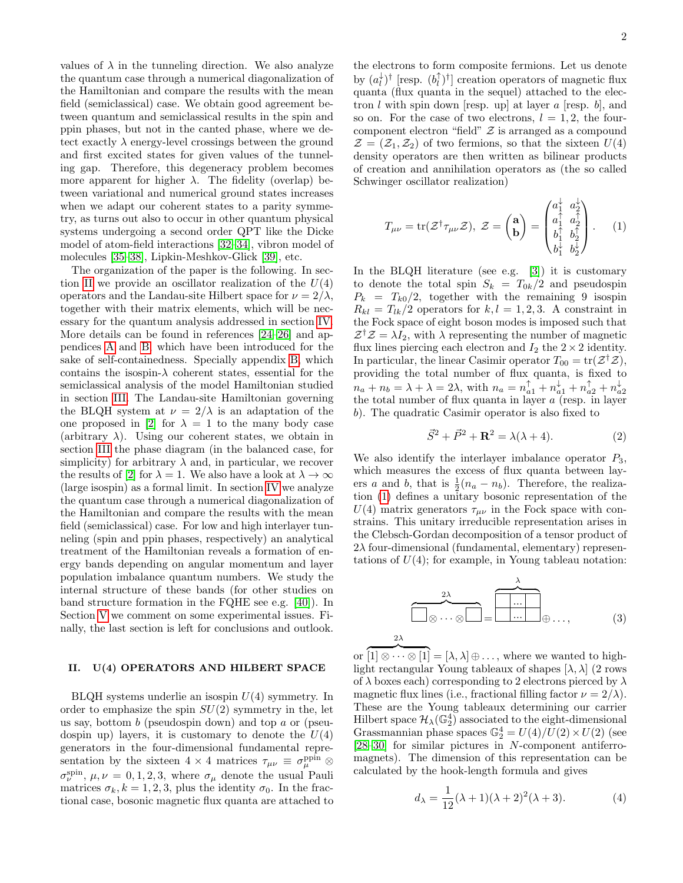values of  $\lambda$  in the tunneling direction. We also analyze the quantum case through a numerical diagonalization of the Hamiltonian and compare the results with the mean field (semiclassical) case. We obtain good agreement between quantum and semiclassical results in the spin and ppin phases, but not in the canted phase, where we detect exactly  $\lambda$  energy-level crossings between the ground and first excited states for given values of the tunneling gap. Therefore, this degeneracy problem becomes more apparent for higher  $\lambda$ . The fidelity (overlap) between variational and numerical ground states increases when we adapt our coherent states to a parity symmetry, as turns out also to occur in other quantum physical systems undergoing a second order QPT like the Dicke model of atom-field interactions [\[32](#page-11-8)[–34\]](#page-11-9), vibron model of molecules [\[35–](#page-11-10)[38\]](#page-11-11), Lipkin-Meshkov-Glick [\[39\]](#page-11-12), etc.

The organization of the paper is the following. In sec-tion [II](#page-1-2) we provide an oscillator realization of the  $U(4)$ operators and the Landau-site Hilbert space for  $\nu = 2/\lambda$ , together with their matrix elements, which will be necessary for the quantum analysis addressed in section [IV.](#page-5-0) More details can be found in references [\[24–](#page-11-1)[26\]](#page-11-2) and appendices [A](#page-9-0) and [B,](#page-9-1) which have been introduced for the sake of self-containedness. Specially appendix [B,](#page-9-1) which contains the isospin- $\lambda$  coherent states, essential for the semiclassical analysis of the model Hamiltonian studied in section [III.](#page-2-0) The Landau-site Hamiltonian governing the BLQH system at  $\nu = 2/\lambda$  is an adaptation of the one proposed in [\[2\]](#page-10-1) for  $\lambda = 1$  to the many body case (arbitrary  $\lambda$ ). Using our coherent states, we obtain in section [III](#page-2-0) the phase diagram (in the balanced case, for simplicity) for arbitrary  $\lambda$  and, in particular, we recover the results of [\[2\]](#page-10-1) for  $\lambda = 1$ . We also have a look at  $\lambda \to \infty$ (large isospin) as a formal limit. In section [IV](#page-5-0) we analyze the quantum case through a numerical diagonalization of the Hamiltonian and compare the results with the mean field (semiclassical) case. For low and high interlayer tunneling (spin and ppin phases, respectively) an analytical treatment of the Hamiltonian reveals a formation of energy bands depending on angular momentum and layer population imbalance quantum numbers. We study the internal structure of these bands (for other studies on band structure formation in the FQHE see e.g. [\[40\]](#page-11-13)). In Section [V](#page-8-0) we comment on some experimental issues. Finally, the last section is left for conclusions and outlook.

#### <span id="page-1-2"></span>II. U(4) OPERATORS AND HILBERT SPACE

 $BLQH$  systems underlie an isospin  $U(4)$  symmetry. In order to emphasize the spin  $SU(2)$  symmetry in the, let us say, bottom  $b$  (pseudospin down) and top  $a$  or (pseudospin up) layers, it is customary to denote the  $U(4)$ generators in the four-dimensional fundamental representation by the sixteen  $4 \times 4$  matrices  $\tau_{\mu\nu} \equiv \sigma_{\mu}^{\text{ppin}} \otimes$  $\sigma_{\nu}^{\text{spin}}, \mu, \nu = 0, 1, 2, 3$ , where  $\sigma_{\mu}$  denote the usual Pauli matrices  $\sigma_k, k = 1, 2, 3$ , plus the identity  $\sigma_0$ . In the fractional case, bosonic magnetic flux quanta are attached to

the electrons to form composite fermions. Let us denote by  $(a_l^{\downarrow})^{\dagger}$  [resp.  $(b_l^{\uparrow})^{\dagger}$ ] creation operators of magnetic flux quanta (flux quanta in the sequel) attached to the electron  $l$  with spin down [resp. up] at layer  $a$  [resp.  $b$ ], and so on. For the case of two electrons,  $l = 1, 2$ , the fourcomponent electron "field"  $\mathcal Z$  is arranged as a compound  $\mathcal{Z} = (\mathcal{Z}_1, \mathcal{Z}_2)$  of two fermions, so that the sixteen  $U(4)$ density operators are then written as bilinear products of creation and annihilation operators as (the so called Schwinger oscillator realization)

<span id="page-1-3"></span>
$$
T_{\mu\nu} = \text{tr}(\mathcal{Z}^{\dagger} \tau_{\mu\nu} \mathcal{Z}), \ \mathcal{Z} = \begin{pmatrix} \mathbf{a} \\ \mathbf{b} \end{pmatrix} = \begin{pmatrix} a_1^{\dagger} & a_2^{\dagger} \\ a_1^{\dagger} & a_2^{\dagger} \\ b_1^{\dagger} & b_2^{\dagger} \\ b_1^{\dagger} & b_2^{\dagger} \end{pmatrix}. \tag{1}
$$

In the BLQH literature (see e.g. [\[3\]](#page-10-3)) it is customary to denote the total spin  $S_k = T_{0k}/2$  and pseudospin  $P_k = T_{k0}/2$ , together with the remaining 9 isospin  $R_{kl} = T_{lk}/2$  operators for  $k, l = 1, 2, 3$ . A constraint in the Fock space of eight boson modes is imposed such that  $\mathcal{Z}^{\dagger} \mathcal{Z} = \lambda I_2$ , with  $\lambda$  representing the number of magnetic flux lines piercing each electron and  $I_2$  the  $2 \times 2$  identity. In particular, the linear Casimir operator  $T_{00} = \text{tr}(\mathcal{Z}^{\dagger} \mathcal{Z}),$ providing the total number of flux quanta, is fixed to  $n_a + n_b = \lambda + \lambda = 2\lambda$ , with  $n_a = n_{a1}^{\uparrow} + n_{a1}^{\downarrow} + n_{a2}^{\uparrow} + n_{a2}^{\downarrow}$ <br>the total number of flux quanta in layer a (resp. in layer b). The quadratic Casimir operator is also fixed to

<span id="page-1-4"></span>
$$
\vec{S}^2 + \vec{P}^2 + \mathbf{R}^2 = \lambda(\lambda + 4). \tag{2}
$$

We also identify the interlayer imbalance operator  $P_3$ , which measures the excess of flux quanta between layers a and b, that is  $\frac{1}{2}(n_a - n_b)$ . Therefore, the realization [\(1\)](#page-1-3) defines a unitary bosonic representation of the  $U(4)$  matrix generators  $\tau_{\mu\nu}$  in the Fock space with constrains. This unitary irreducible representation arises in the Clebsch-Gordan decomposition of a tensor product of  $2\lambda$  four-dimensional (fundamental, elementary) representations of  $U(4)$ ; for example, in Young tableau notation:

$$
\overbrace{\square \otimes \cdots \otimes \square}^{2\lambda} = \overbrace{\square \cdots \square}^{\lambda} \oplus \cdots, \qquad (3)
$$

or  $\overline{[1] \otimes \cdots \otimes [1]} = [\lambda, \lambda] \oplus \ldots$ , where we wanted to highlight rectangular Young tableaux of shapes  $[\lambda, \lambda]$  (2 rows of  $\lambda$  boxes each) corresponding to 2 electrons pierced by  $\lambda$ magnetic flux lines (i.e., fractional filling factor  $\nu = 2/\lambda$ ). These are the Young tableaux determining our carrier Hilbert space  $\mathcal{H}_{\lambda}(\mathbb{G}_{2}^{4})$  associated to the eight-dimensional Grassmannian phase spaces  $\mathbb{G}_2^4 = U(4)/\widetilde{U}(2) \times U(2)$  (see [\[28–](#page-11-4)[30\]](#page-11-5) for similar pictures in N-component antiferromagnets). The dimension of this representation can be calculated by the hook-length formula and gives

<span id="page-1-1"></span>2λ

<span id="page-1-0"></span>
$$
d_{\lambda} = \frac{1}{12}(\lambda + 1)(\lambda + 2)^2(\lambda + 3). \tag{4}
$$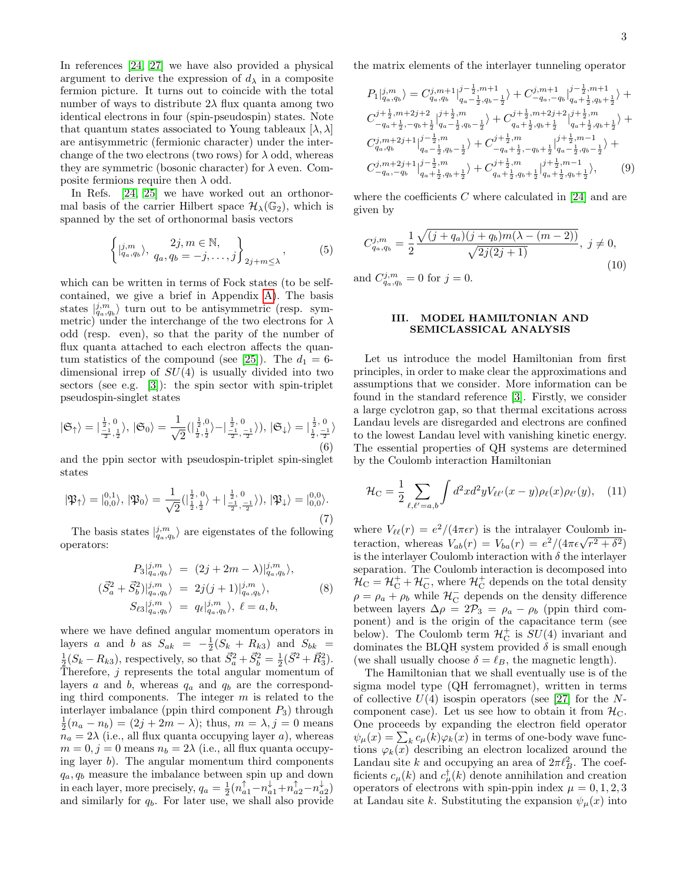In references [\[24,](#page-11-1) [27\]](#page-11-3) we have also provided a physical argument to derive the expression of  $d_{\lambda}$  in a composite fermion picture. It turns out to coincide with the total number of ways to distribute  $2\lambda$  flux quanta among two identical electrons in four (spin-pseudospin) states. Note that quantum states associated to Young tableaux  $[\lambda, \lambda]$ are antisymmetric (fermionic character) under the interchange of the two electrons (two rows) for  $\lambda$  odd, whereas they are symmetric (bosonic character) for  $\lambda$  even. Composite fermions require then  $\lambda$  odd.

In Refs. [\[24,](#page-11-1) [25\]](#page-11-6) we have worked out an orthonormal basis of the carrier Hilbert space  $\mathcal{H}_{\lambda}(\mathbb{G}_2)$ , which is spanned by the set of orthonormal basis vectors

<span id="page-2-1"></span>
$$
\left\{ \left| \begin{matrix} j,m \\ q_a, q_b \end{matrix} \right\rangle, \begin{matrix} 2j, m \in \mathbb{N}, \\ q_a, q_b = -j, \dots, j \end{matrix} \right\}_{2j+m \leq \lambda}, \tag{5}
$$

which can be written in terms of Fock states (to be selfcontained, we give a brief in Appendix [A\)](#page-9-0). The basis states  $|_{q_a,q_b}^{j,m}\rangle$  turn out to be antisymmetric (resp. symmetric) under the interchange of the two electrons for  $\lambda$ odd (resp. even), so that the parity of the number of flux quanta attached to each electron affects the quan-tum statistics of the compound (see [\[25\]](#page-11-6)). The  $d_1 = 6$ dimensional irrep of  $SU(4)$  is usually divided into two sectors (see e.g. [\[3\]](#page-10-3)): the spin sector with spin-triplet pseudospin-singlet states

<span id="page-2-4"></span>
$$
|\mathfrak{S}_{\uparrow}\rangle = |\frac{\frac{1}{2}, 0}{\frac{-1}{2}, \frac{1}{2}}\rangle, |\mathfrak{S}_{0}\rangle = \frac{1}{\sqrt{2}}(|\frac{\frac{1}{2}, 0}{\frac{1}{2}, \frac{1}{2}}\rangle - |\frac{\frac{1}{2}, 0}{\frac{-1}{2}, \frac{-1}{2}}\rangle), |\mathfrak{S}_{\downarrow}\rangle = |\frac{\frac{1}{2}, 0}{\frac{1}{2}, \frac{-1}{2}}\rangle
$$
(6)

and the ppin sector with pseudospin-triplet spin-singlet states

<span id="page-2-5"></span>
$$
|\mathfrak{P}_{\uparrow}\rangle = |_{0,0}^{0,1}\rangle, |\mathfrak{P}_{0}\rangle = \frac{1}{\sqrt{2}}\left(|_{\frac{1}{2},\frac{1}{2}}^{1,0}\rangle + |_{\frac{-1}{2},\frac{-1}{2}}^{1,0}\rangle\right), |\mathfrak{P}_{\downarrow}\rangle = |_{0,0}^{0,0}\rangle.
$$
\n(7)

The basis states  $|_{q_a,q_b}^{j,m}\rangle$  are eigenstates of the following operators:

<span id="page-2-2"></span>
$$
P_3|_{q_a,q_b}^{j,m} \rangle = (2j + 2m - \lambda)|_{q_a,q_b}^{j,m} \rangle,
$$
  
\n
$$
(\vec{S}_a^2 + \vec{S}_b^2)|_{q_a,q_b}^{j,m} \rangle = 2j(j+1)|_{q_a,q_b}^{j,m} \rangle,
$$
  
\n
$$
S_{\ell 3}|_{q_a,q_b}^{j,m} \rangle = q_{\ell}|_{q_a,q_b}^{j,m} \rangle, \ell = a, b,
$$
\n(8)

where we have defined angular momentum operators in layers a and b as  $S_{ak} = -\frac{1}{2}(S_k + R_{k3})$  and  $S_{bk} =$  $\frac{1}{2}(S_k - R_{k3})$ , respectively, so that  $\vec{S}_a^2 + \vec{S}_b^2 = \frac{1}{2}(\vec{S}^2 + \vec{R}_3^2)$ . Therefore,  $j$  represents the total angular momentum of layers a and b, whereas  $q_a$  and  $q_b$  are the corresponding third components. The integer  $m$  is related to the interlayer imbalance (ppin third component  $P_3$ ) through  $\frac{1}{2}(n_a - n_b) = (2j + 2m - \lambda);$  thus,  $m = \lambda, j = 0$  means  $n_a = 2\lambda$  (i.e., all flux quanta occupying layer a), whereas  $m = 0, j = 0$  means  $n_b = 2\lambda$  (i.e., all flux quanta occupying layer  $b$ ). The angular momentum third components  $q_a, q_b$  measure the imbalance between spin up and down in each layer, more precisely,  $q_a = \frac{1}{2} (n_{a1}^{\uparrow} - n_{a1}^{\downarrow} + n_{a2}^{\uparrow} - n_{a2}^{\downarrow})$ and similarly for  $q_b$ . For later use, we shall also provide

the matrix elements of the interlayer tunneling operator

<span id="page-2-3"></span>
$$
P_{1}|_{q_{a},q_{b}}^{j,m}\rangle = C_{q_{a},q_{b}}^{j,m+1}|_{q_{a}-\frac{1}{2},q_{b}-\frac{1}{2}}^{j-\frac{1}{2},m+1}\rangle + C_{-q_{a},-q_{b}}^{j,m+1}|_{q_{a}+\frac{1}{2},q_{b}+\frac{1}{2}}^{j+\frac{1}{2},m+1}\rangle + C_{-q_{a}+\frac{1}{2},q_{b}+\frac{1}{2},q_{b}+\frac{1}{2}}^{j+\frac{1}{2},m+2j+2}|_{q_{a}-\frac{1}{2},q_{b}-\frac{1}{2}}^{j+\frac{1}{2},m}\rangle + C_{q_{a}+\frac{1}{2},q_{b}+\frac{1}{2}}^{j+\frac{1}{2},m+2j+2}|_{q_{a}+\frac{1}{2},q_{b}+\frac{1}{2}}^{j+\frac{1}{2},m+2j+2}|_{q_{a}+\frac{1}{2},q_{b}+\frac{1}{2}}^{j+\frac{1}{2},m}|_{q_{a},q_{b}}^{j,m+2j+1}|_{q_{a}-\frac{1}{2},q_{b}-\frac{1}{2}}^{j+\frac{1}{2},m}\rangle + C_{-q_{a}+\frac{1}{2},-q_{b}+\frac{1}{2}}^{j+\frac{1}{2},m-1}|_{q_{a}-\frac{1}{2},q_{b}-\frac{1}{2}}^{j+\frac{1}{2},m-1}|_{q_{a}+\frac{1}{2},q_{b}+\frac{1}{2}}^{j+\frac{1}{2},m-1}|_{q_{a}+\frac{1}{2},q_{b}+\frac{1}{2}}^{j+\frac{1}{2},m-1}|_{q_{a}+\frac{1}{2},q_{b}+\frac{1}{2}}^{j+\frac{1}{2},m-1}|_{q_{a}+\frac{1}{2},q_{b}+\frac{1}{2}}^{j+\frac{1}{2},m-1}|_{q_{a}+\frac{1}{2},q_{b}+\frac{1}{2}}^{j+\frac{1}{2},m-1}|_{q_{a}+\frac{1}{2},q_{b}+\frac{1}{2}}^{j+\frac{1}{2},m-1}|_{q_{a}+\frac{1}{2},q_{b}+\frac{1}{2}}^{j+\frac{1}{2},m-1}|_{q_{a}+\frac{1}{2},q_{b}+\frac{1}{2}}^{j+\frac{1}{2},m}|_{q_{a}+\frac{1}{2},q_{
$$

where the coefficients  $C$  where calculated in [\[24\]](#page-11-1) and are given by

$$
C_{q_a, q_b}^{j,m} = \frac{1}{2} \frac{\sqrt{(j+q_a)(j+q_b)m(\lambda - (m-2))}}{\sqrt{2j(2j+1)}}, \ j \neq 0,
$$
  
(10)

and  $C_{q_a,q_b}^{j,m} = 0$  for  $j = 0$ .

### <span id="page-2-0"></span>III. MODEL HAMILTONIAN AND SEMICLASSICAL ANALYSIS

Let us introduce the model Hamiltonian from first principles, in order to make clear the approximations and assumptions that we consider. More information can be found in the standard reference [\[3\]](#page-10-3). Firstly, we consider a large cyclotron gap, so that thermal excitations across Landau levels are disregarded and electrons are confined to the lowest Landau level with vanishing kinetic energy. The essential properties of QH systems are determined by the Coulomb interaction Hamiltonian

$$
\mathcal{H}_{\rm C} = \frac{1}{2} \sum_{\ell, \ell' = a, b} \int d^2x d^2y V_{\ell \ell'}(x - y) \rho_{\ell}(x) \rho_{\ell'}(y), \quad (11)
$$

where  $V_{\ell\ell}(r) = e^2/(4\pi\epsilon r)$  is the intralayer Coulomb inwhere  $V_{\ell\ell}(r) = e^{-}/(4\pi\epsilon r)$  is the intralayer Coulomb in-<br>teraction, whereas  $V_{ab}(r) = V_{ba}(r) = e^{2}/(4\pi\epsilon\sqrt{r^{2} + \delta^{2}})$ is the interlayer Coulomb interaction with  $\delta$  the interlayer separation. The Coulomb interaction is decomposed into  $\mathcal{H}_{\rm C} = \mathcal{H}_{\rm C}^+ + \mathcal{H}_{\rm C}^-$ , where  $\mathcal{H}_{\rm C}^+$  depends on the total density  $\rho = \rho_a + \rho_b$  while  $\mathcal{H}_{\mathcal{C}}^-$  depends on the density difference between layers  $\Delta \rho = 2\mathcal{P}_3 = \rho_a - \rho_b$  (ppin third component) and is the origin of the capacitance term (see below). The Coulomb term  $\mathcal{H}_{\mathcal{C}}^{+}$  is  $SU(4)$  invariant and dominates the BLQH system provided  $\delta$  is small enough (we shall usually choose  $\delta = \ell_B$ , the magnetic length).

The Hamiltonian that we shall eventually use is of the sigma model type (QH ferromagnet), written in terms of collective  $U(4)$  isospin operators (see [\[27\]](#page-11-3) for the Ncomponent case). Let us see how to obtain it from  $\mathcal{H}_{C}$ . One proceeds by expanding the electron field operator  $\psi_{\mu}(x) = \sum_{k} c_{\mu}(k) \varphi_{k}(x)$  in terms of one-body wave functions  $\varphi_k(x)$  describing an electron localized around the Landau site k and occupying an area of  $2\pi l_B^2$ . The coefficients  $c_{\mu}(k)$  and  $c_{\mu}^{\dagger}(k)$  denote annihilation and creation operators of electrons with spin-ppin index  $\mu = 0, 1, 2, 3$ at Landau site k. Substituting the expansion  $\psi_{\mu}(x)$  into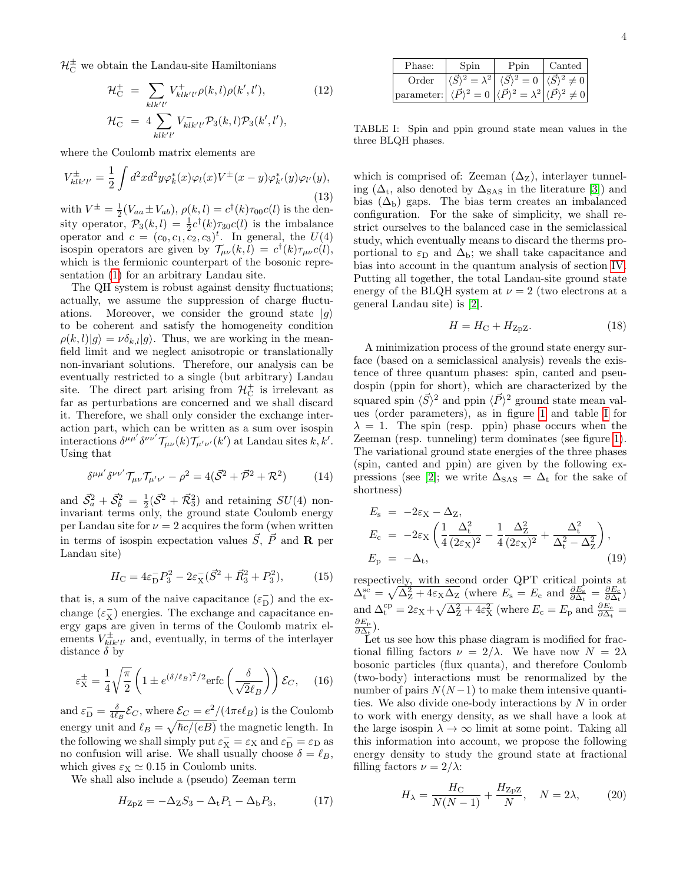$\mathcal{H}_{\mathrm{C}}^{\pm}$  we obtain the Landau-site Hamiltonians

$$
\mathcal{H}_{\rm C}^{+} = \sum_{klk'l'} V_{klk'l'}^{+} \rho(k,l) \rho(k',l'), \qquad (12)
$$

$$
\mathcal{H}_{\rm C}^{-} = 4 \sum_{klk'l'} V_{klk'l'}^{-} \mathcal{P}_{3}(k,l) \mathcal{P}_{3}(k',l'),
$$

where the Coulomb matrix elements are

$$
V_{klk'l'}^{\pm} = \frac{1}{2} \int d^2x d^2y \varphi_k^*(x) \varphi_l(x) V^{\pm}(x-y) \varphi_{k'}^*(y) \varphi_{l'}(y),
$$
\n(13)

with  $V^{\pm} = \frac{1}{2}(V_{aa} \pm V_{ab}), \rho(k,l) = c^{\dagger}(k)\tau_{00}c(l)$  is the density operator,  $\mathcal{P}_3(k,l) = \frac{1}{2}c^{\dagger}(k)\tau_{30}c(l)$  is the imbalance operator and  $c = (c_0, c_1, c_2, c_3)^t$ . In general, the  $U(4)$ isospin operators are given by  $\mathcal{T}_{\mu\nu}(k,l) = c^{\dagger}(k)\tau_{\mu\nu}c(l)$ , which is the fermionic counterpart of the bosonic representation [\(1\)](#page-1-3) for an arbitrary Landau site.

The QH system is robust against density fluctuations; actually, we assume the suppression of charge fluctuations. Moreover, we consider the ground state  $|g\rangle$ to be coherent and satisfy the homogeneity condition  $\rho(k, l)|q\rangle = \nu \delta_{k,l}|q\rangle$ . Thus, we are working in the meanfield limit and we neglect anisotropic or translationally non-invariant solutions. Therefore, our analysis can be eventually restricted to a single (but arbitrary) Landau site. The direct part arising from  $\mathcal{H}_{\mathcal{C}}^{+}$  is irrelevant as far as perturbations are concerned and we shall discard it. Therefore, we shall only consider the exchange interaction part, which can be written as a sum over isospin interactions  $\delta^{\mu\mu'}\delta^{\nu\nu'}\mathcal{T}_{\mu\nu}(k)\mathcal{T}_{\mu'\nu'}(k')$  at Landau sites  $k, k'.$ Using that

$$
\delta^{\mu\mu'}\delta^{\nu\nu'}\mathcal{T}_{\mu\nu}\mathcal{T}_{\mu'\nu'}-\rho^2=4(\vec{\mathcal{S}}^2+\vec{\mathcal{P}}^2+\mathcal{R}^2)
$$
 (14)

and  $\vec{S}_a^2 + \vec{S}_b^2 = \frac{1}{2} (\vec{S}^2 + \vec{\mathcal{R}}_3^2)$  and retaining  $SU(4)$  noninvariant terms only, the ground state Coulomb energy per Landau site for  $\nu = 2$  acquires the form (when written in terms of isospin expectation values  $\vec{S}$ ,  $\vec{P}$  and **R** per Landau site)

$$
H_{\rm C} = 4\varepsilon_{\rm D}^- P_3^2 - 2\varepsilon_{\rm X}^- (\vec{S}^2 + \vec{R}_3^2 + P_3^2), \tag{15}
$$

that is, a sum of the naive capacitance  $(\varepsilon_{\rm D}^-)$  and the exchange  $(\varepsilon_X^-)$  energies. The exchange and capacitance energy gaps are given in terms of the Coulomb matrix elements  $V_{klk'l'}^{\pm}$  and, eventually, in terms of the interlayer distance  $\delta$  by

$$
\varepsilon_{\rm X}^{\pm} = \frac{1}{4} \sqrt{\frac{\pi}{2}} \left( 1 \pm e^{(\delta/\ell_B)^2/2} \text{erfc}\left(\frac{\delta}{\sqrt{2}\ell_B}\right) \right) \mathcal{E}_C, \quad (16)
$$

and  $\varepsilon_{\rm D}^- = \frac{\delta}{4\ell_B} \mathcal{E}_C$ , where  $\mathcal{E}_C = e^2/(4\pi\epsilon \ell_B)$  is the Coulomb energy unit and  $\ell_B = \sqrt{\hbar c/(eB)}$  the magnetic length. In the following we shall simply put  $\varepsilon_X^- = \varepsilon_X$  and  $\varepsilon_D^- = \varepsilon_D$  as no confusion will arise. We shall usually choose  $\delta = \ell_B$ , which gives  $\varepsilon_X \simeq 0.15$  in Coulomb units.

We shall also include a (pseudo) Zeeman term

<span id="page-3-0"></span>
$$
HZpZ = -\DeltaZS3 - \DeltatP1 - \DeltabP3, \t(17)
$$

| Phase:     | $\mathop{\mathrm{Spin}}$        | Ppin                                                                                                     | $\rm{Canted}$ |
|------------|---------------------------------|----------------------------------------------------------------------------------------------------------|---------------|
| Order      |                                 | $\langle \vec{S} \rangle^2 = \lambda^2  \langle \vec{S} \rangle^2 = 0  \langle \vec{S} \rangle^2 \neq 0$ |               |
| parameter: | $\langle \vec{P} \rangle^2 = 0$ | $\vec{P}$ <sup>2</sup> $=$ $\lambda^2$                                                                   | $\pm 0$       |

<span id="page-3-1"></span>TABLE I: Spin and ppin ground state mean values in the three BLQH phases.

which is comprised of: Zeeman  $(\Delta_Z)$ , interlayer tunneling ( $\Delta_t$ , also denoted by  $\Delta_{SAS}$  in the literature [\[3\]](#page-10-3)) and bias  $(\Delta_{b})$  gaps. The bias term creates an imbalanced configuration. For the sake of simplicity, we shall restrict ourselves to the balanced case in the semiclassical study, which eventually means to discard the therms proportional to  $\varepsilon_D$  and  $\Delta_b$ ; we shall take capacitance and bias into account in the quantum analysis of section [IV.](#page-5-0) Putting all together, the total Landau-site ground state energy of the BLQH system at  $\nu = 2$  (two electrons at a general Landau site) is [\[2\]](#page-10-1).

<span id="page-3-2"></span>
$$
H = H_{\rm C} + H_{\rm ZpZ}.
$$
 (18)

A minimization process of the ground state energy surface (based on a semiclassical analysis) reveals the existence of three quantum phases: spin, canted and pseudospin (ppin for short), which are characterized by the squared spin  $\langle \vec{S} \rangle^2$  and ppin  $\langle \vec{P} \rangle^2$  ground state mean values (order parameters), as in figure [1](#page-4-0) and table [I](#page-3-1) for  $\lambda = 1$ . The spin (resp. ppin) phase occurs when the Zeeman (resp. tunneling) term dominates (see figure [1\)](#page-4-0). The variational ground state energies of the three phases (spin, canted and ppin) are given by the following ex-pressions (see [\[2\]](#page-10-1); we write  $\Delta_{\text{SAS}} = \Delta_t$  for the sake of shortness)

<span id="page-3-4"></span>
$$
E_{\rm s} = -2\varepsilon_{\rm X} - \Delta_{\rm Z},
$$
  
\n
$$
E_{\rm c} = -2\varepsilon_{\rm X} \left( \frac{1}{4} \frac{\Delta_{\rm t}^2}{(2\varepsilon_{\rm X})^2} - \frac{1}{4} \frac{\Delta_{\rm Z}^2}{(2\varepsilon_{\rm X})^2} + \frac{\Delta_{\rm t}^2}{\Delta_{\rm t}^2 - \Delta_{\rm Z}^2} \right),
$$
  
\n
$$
E_{\rm p} = -\Delta_{\rm t},
$$
\n(19)

respectively, with second order QPT critical points at  $\Delta_t^{\rm sc} = \sqrt{\Delta_Z^2 + 4\varepsilon_{\rm X} \Delta_Z}$  (where  $E_{\rm s} = E_{\rm c}$  and  $\frac{\partial E_{\rm s}}{\partial \Delta_t} = \frac{\partial E_{\rm c}}{\partial \Delta_t}$ ) and  $\Delta_{t}^{cp} = 2\varepsilon_{X} + \sqrt{\Delta_{Z}^{2} + 4\varepsilon_{X}^{2}}$  (where  $E_{c} = E_{p}$  and  $\frac{\partial E_{c}}{\partial \Delta_{t}} =$  $\partial E_\text{p}$  $\frac{\partial E_{\rm p}}{\partial \Delta_{\rm t}}).$ 

Let us see how this phase diagram is modified for fractional filling factors  $\nu = 2/\lambda$ . We have now  $N = 2\lambda$ bosonic particles (flux quanta), and therefore Coulomb (two-body) interactions must be renormalized by the number of pairs  $N(N-1)$  to make them intensive quantities. We also divide one-body interactions by N in order to work with energy density, as we shall have a look at the large isospin  $\lambda \to \infty$  limit at some point. Taking all this information into account, we propose the following energy density to study the ground state at fractional filling factors  $\nu = 2/\lambda$ :

<span id="page-3-3"></span>
$$
H_{\lambda} = \frac{H_{\rm C}}{N(N-1)} + \frac{H_{\rm ZpZ}}{N}, \quad N = 2\lambda, \tag{20}
$$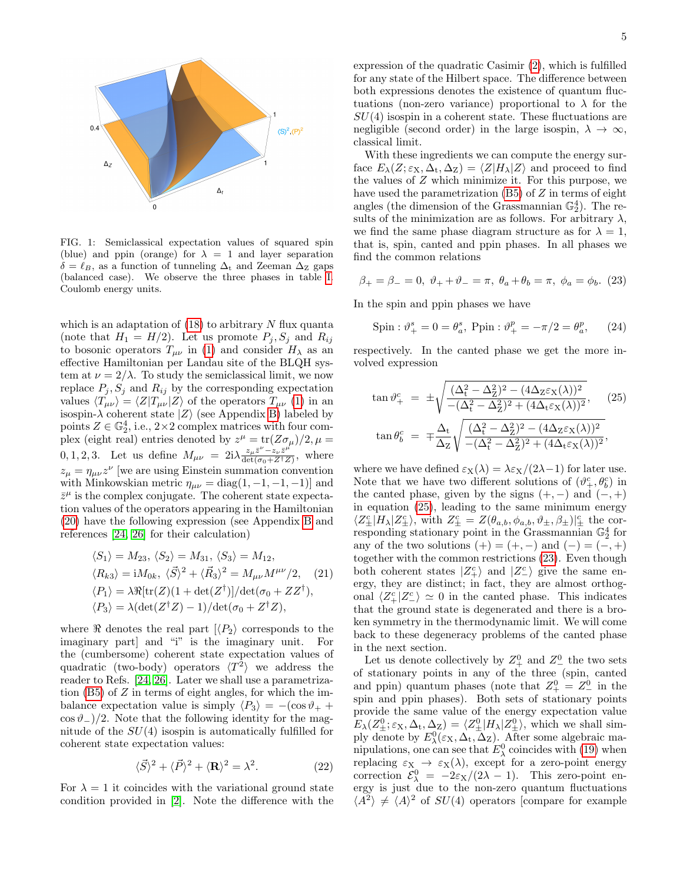

<span id="page-4-0"></span>FIG. 1: Semiclassical expectation values of squared spin (blue) and ppin (orange) for  $\lambda = 1$  and layer separation  $\delta = \ell_B$ , as a function of tunneling  $\Delta_t$  and Zeeman  $\Delta_z$  gaps (balanced case). We observe the three phases in table [I.](#page-3-1) Coulomb energy units.

which is an adaptation of  $(18)$  to arbitrary N flux quanta (note that  $H_1 = H/2$ ). Let us promote  $P_i, S_j$  and  $R_{ij}$ to bosonic operators  $T_{\mu\nu}$  in [\(1\)](#page-1-3) and consider  $H_{\lambda}$  as an effective Hamiltonian per Landau site of the BLQH system at  $\nu = 2/\lambda$ . To study the semiclassical limit, we now replace  $P_j$ ,  $S_j$  and  $R_{ij}$  by the corresponding expectation values  $\langle T_{\mu\nu} \rangle = \langle Z|T_{\mu\nu}|Z\rangle$  of the operators  $T_{\mu\nu}$  [\(1\)](#page-1-3) in an isospin- $\lambda$  coherent state  $|Z\rangle$  (see Appendix [B\)](#page-9-1) labeled by points  $Z \in \mathbb{G}_2^4$ , i.e.,  $2 \times 2$  complex matrices with four complex (eight real) entries denoted by  $z^{\mu} = \text{tr}(Z\sigma_{\mu})/2$ ,  $\mu =$ 0, 1, 2, 3. Let us define  $M_{\mu\nu} = 2i\lambda \frac{z_{\mu}\bar{z}^{\nu} - z_{\nu}\bar{z}^{\mu}}{\det(\sigma_0 + Z^{\dagger}Z)}$  $\frac{z_{\mu}z - z_{\nu}z}{\det(\sigma_0 + Z^{\dagger}Z)},$  where  $z_{\mu} = \eta_{\mu\nu} z^{\nu}$  [we are using Einstein summation convention with Minkowskian metric  $\eta_{\mu\nu} = \text{diag}(1, -1, -1, -1)$ ] and  $\bar{z}^{\mu}$  is the complex conjugate. The coherent state expectation values of the operators appearing in the Hamiltonian [\(20\)](#page-3-3) have the following expression (see Appendix [B](#page-9-1) and references [\[24,](#page-11-1) [26\]](#page-11-2) for their calculation)

<span id="page-4-4"></span>
$$
\langle S_1 \rangle = M_{23}, \langle S_2 \rangle = M_{31}, \langle S_3 \rangle = M_{12},
$$
  
\n
$$
\langle R_{k3} \rangle = iM_{0k}, \langle \vec{S} \rangle^2 + \langle \vec{R}_3 \rangle^2 = M_{\mu\nu} M^{\mu\nu}/2, \quad (21)
$$
  
\n
$$
\langle P_1 \rangle = \lambda \Re[\text{tr}(Z)(1 + \det(Z^{\dagger}))/\det(\sigma_0 + ZZ^{\dagger}),
$$
  
\n
$$
\langle P_3 \rangle = \lambda(\det(Z^{\dagger}Z) - 1)/\det(\sigma_0 + Z^{\dagger}Z),
$$

where  $\Re$  denotes the real part  $\langle P_2 \rangle$  corresponds to the imaginary part] and "i" is the imaginary unit. For the (cumbersome) coherent state expectation values of quadratic (two-body) operators  $\langle T^2 \rangle$  we address the reader to Refs. [\[24,](#page-11-1) [26\]](#page-11-2). Later we shall use a parametrization  $(B5)$  of  $Z$  in terms of eight angles, for which the imbalance expectation value is simply  $\langle P_3 \rangle = -(\cos \vartheta_+ +$  $\cos \theta$ <sub>−</sub>)/2. Note that the following identity for the magnitude of the  $SU(4)$  isospin is automatically fulfilled for coherent state expectation values:

<span id="page-4-3"></span>
$$
\langle \vec{S} \rangle^2 + \langle \vec{P} \rangle^2 + \langle \mathbf{R} \rangle^2 = \lambda^2. \tag{22}
$$

For  $\lambda = 1$  it coincides with the variational ground state condition provided in [\[2\]](#page-10-1). Note the difference with the expression of the quadratic Casimir [\(2\)](#page-1-4), which is fulfilled for any state of the Hilbert space. The difference between both expressions denotes the existence of quantum fluctuations (non-zero variance) proportional to  $\lambda$  for the  $SU(4)$  isospin in a coherent state. These fluctuations are negligible (second order) in the large isospin,  $\lambda \to \infty$ , classical limit.

With these ingredients we can compute the energy surface  $E_{\lambda}(Z; \varepsilon_{X}, \Delta_{t}, \Delta_{Z}) = \langle Z|H_{\lambda}|Z\rangle$  and proceed to find the values of Z which minimize it. For this purpose, we have used the parametrization  $(B5)$  of  $Z$  in terms of eight angles (the dimension of the Grassmannian  $\mathbb{G}_2^4$ ). The results of the minimization are as follows. For arbitrary  $\lambda$ , we find the same phase diagram structure as for  $\lambda = 1$ , that is, spin, canted and ppin phases. In all phases we find the common relations

<span id="page-4-2"></span>
$$
\beta_+ = \beta_- = 0, \ \vartheta_+ + \vartheta_- = \pi, \ \theta_a + \theta_b = \pi, \ \phi_a = \phi_b. \tag{23}
$$

In the spin and ppin phases we have

<span id="page-4-5"></span>Spin: 
$$
\vartheta_{+}^{s} = 0 = \theta_{a}^{s}
$$
, Ppin:  $\vartheta_{+}^{p} = -\pi/2 = \theta_{a}^{p}$ , (24)

respectively. In the canted phase we get the more involved expression

<span id="page-4-1"></span>
$$
\tan \vartheta_+^c = \pm \sqrt{\frac{(\Delta_t^2 - \Delta_Z^2)^2 - (4\Delta_Z \varepsilon_X(\lambda))^2}{-(\Delta_t^2 - \Delta_Z^2)^2 + (4\Delta_t \varepsilon_X(\lambda))^2}}, \qquad (25)
$$

$$
\tan \theta_b^c = \mp \frac{\Delta_t}{\Delta_Z} \sqrt{\frac{(\Delta_t^2 - \Delta_Z^2)^2 - (4\Delta_Z \varepsilon_X(\lambda))^2}{-(\Delta_t^2 - \Delta_Z^2)^2 + (4\Delta_t \varepsilon_X(\lambda))^2}},
$$

where we have defined  $\varepsilon_X(\lambda) = \lambda \varepsilon_X/(2\lambda-1)$  for later use. Note that we have two different solutions of  $(\vartheta^c_+,\theta^c_b)$  in the canted phase, given by the signs  $(+, -)$  and  $(-, +)$ in equation [\(25\)](#page-4-1), leading to the same minimum energy  $\langle Z_{\pm}^{c}|H_{\lambda}|Z_{\pm}^{c}\rangle$ , with  $Z_{\pm}^{c}=Z(\theta_{a,b},\phi_{a,b},\vartheta_{\pm},\beta_{\pm})|_{\pm}^{c}$  the corresponding stationary point in the Grassmannian  $\mathbb{G}_2^4$  for any of the two solutions  $(+) = (+, -)$  and  $(-) = (-, +)$ together with the common restrictions [\(23\)](#page-4-2). Even though both coherent states  $|Z_{+}^{c}\rangle$  and  $|Z_{-}^{c}\rangle$  give the same energy, they are distinct; in fact, they are almost orthogonal  $\langle Z_{+}^{c} | Z_{-}^{c} \rangle \simeq 0$  in the canted phase. This indicates that the ground state is degenerated and there is a broken symmetry in the thermodynamic limit. We will come back to these degeneracy problems of the canted phase in the next section.

Let us denote collectively by  $Z^0_+$  and  $Z^0_-$  the two sets of stationary points in any of the three (spin, canted and ppin) quantum phases (note that  $Z_{+}^{0} = Z_{-}^{0}$  in the spin and ppin phases). Both sets of stationary points provide the same value of the energy expectation value  $E_{\lambda}(Z_{\pm}^0;\varepsilon_{\rm X},\Delta_{\rm t},\Delta_{\rm Z}) = \langle Z_{\pm}^0|H_{\lambda}|Z_{\pm}^0\rangle$ , which we shall simply denote by  $E^0_\lambda(\varepsilon_X, \Delta_t, \overline{\Delta}_Z)$ . After some algebraic manipulations, one can see that  $E^0_\lambda$  coincides with [\(19\)](#page-3-4) when replacing  $\varepsilon_X \to \varepsilon_X(\lambda)$ , except for a zero-point energy correction  $\mathcal{E}_{\lambda}^0 = -2\varepsilon_{\text{X}}/(2\lambda - 1)$ . This zero-point energy is just due to the non-zero quantum fluctuations  $\langle A^2 \rangle \neq \langle A \rangle^2$  of  $SU(4)$  operators [compare for example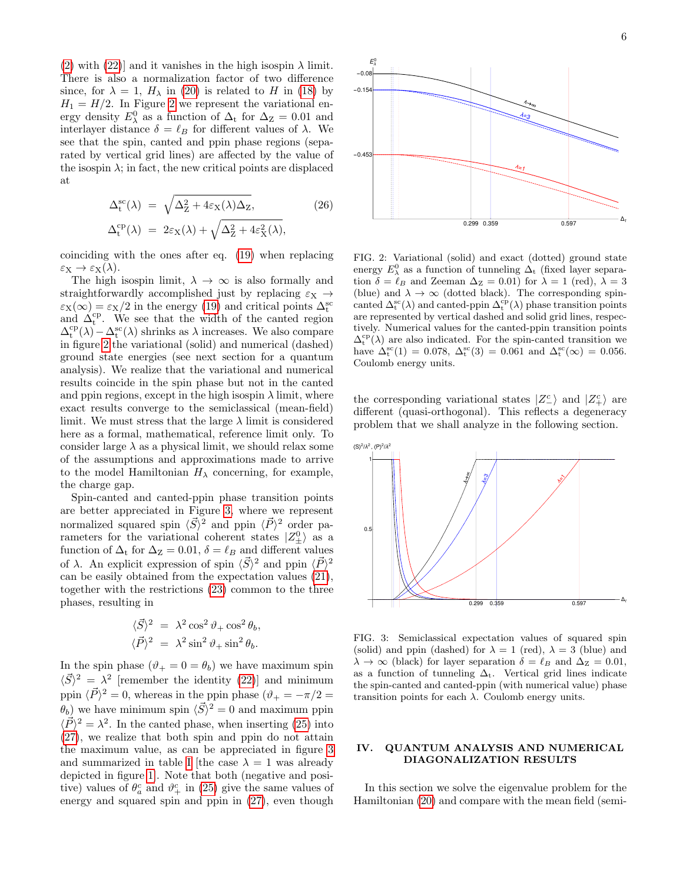[\(2\)](#page-1-4) with [\(22\)](#page-4-3)] and it vanishes in the high isospin  $\lambda$  limit. There is also a normalization factor of two difference since, for  $\lambda = 1$ ,  $H_{\lambda}$  in [\(20\)](#page-3-3) is related to H in [\(18\)](#page-3-2) by  $H_1 = H/2$ . In Figure [2](#page-5-1) we represent the variational energy density  $E_{\lambda}^{0}$  as a function of  $\Delta_{t}$  for  $\Delta_{Z} = 0.01$  and interlayer distance  $\delta = \ell_B$  for different values of  $\lambda$ . We see that the spin, canted and ppin phase regions (separated by vertical grid lines) are affected by the value of the isospin  $\lambda$ ; in fact, the new critical points are displaced at

<span id="page-5-4"></span>
$$
\Delta_{t}^{\text{sc}}(\lambda) = \sqrt{\Delta_{Z}^{2} + 4\varepsilon_{X}(\lambda)\Delta_{Z}},
$$
\n
$$
\Delta_{t}^{\text{cp}}(\lambda) = 2\varepsilon_{X}(\lambda) + \sqrt{\Delta_{Z}^{2} + 4\varepsilon_{X}^{2}(\lambda)},
$$
\n(26)

coinciding with the ones after eq. [\(19\)](#page-3-4) when replacing  $\varepsilon_{\rm X} \to \varepsilon_{\rm X}(\lambda)$ .

The high isospin limit,  $\lambda \to \infty$  is also formally and straightforwardly accomplished just by replacing  $\varepsilon_X \rightarrow$  $\varepsilon_X(\infty) = \varepsilon_X/2$  in the energy [\(19\)](#page-3-4) and critical points  $\Delta_t^{\text{sc}}$ and  $\Delta_t^{cp}$ . We see that the width of the canted region  $\Delta_t^{cp}(\lambda) - \Delta_t^{sc}(\lambda)$  shrinks as  $\lambda$  increases. We also compare in figure [2](#page-5-1) the variational (solid) and numerical (dashed) ground state energies (see next section for a quantum analysis). We realize that the variational and numerical results coincide in the spin phase but not in the canted and ppin regions, except in the high isospin  $\lambda$  limit, where exact results converge to the semiclassical (mean-field) limit. We must stress that the large  $\lambda$  limit is considered here as a formal, mathematical, reference limit only. To consider large  $\lambda$  as a physical limit, we should relax some of the assumptions and approximations made to arrive to the model Hamiltonian  $H_{\lambda}$  concerning, for example, the charge gap.

Spin-canted and canted-ppin phase transition points are better appreciated in Figure [3,](#page-5-2) where we represent normalized squared spin  $\langle \vec{S} \rangle^2$  and ppin  $\langle \vec{P} \rangle^2$  order parameters for the variational coherent states  $|Z_{\pm}^{0}\rangle$  as a function of  $\Delta_t$  for  $\Delta_z = 0.01$ ,  $\delta = \ell_B$  and different values of  $\lambda$ . An explicit expression of spin  $\langle \vec{S} \rangle^2$  and ppin  $\langle \vec{P} \rangle^2$ can be easily obtained from the expectation values [\(21\)](#page-4-4), together with the restrictions [\(23\)](#page-4-2) common to the three phases, resulting in

<span id="page-5-3"></span>
$$
\langle \vec{S} \rangle^2 = \lambda^2 \cos^2 \theta_+ \cos^2 \theta_b, \langle \vec{P} \rangle^2 = \lambda^2 \sin^2 \theta_+ \sin^2 \theta_b.
$$

In the spin phase  $(\vartheta_+ = 0 = \theta_b)$  we have maximum spin  $\langle \vec{S} \rangle^2 = \lambda^2$  [remember the identity [\(22\)](#page-4-3)] and minimum ppin  $\langle \vec{P} \rangle^2 = 0$ , whereas in the ppin phase  $(\vartheta_+ = -\pi/2 = 0)$  $(\theta_b)$  we have minimum spin  $\langle \vec{S} \rangle^2 = 0$  and maximum ppin  $\langle \vec{P} \rangle^2 = \lambda^2$ . In the canted phase, when inserting [\(25\)](#page-4-1) into [\(27\)](#page-5-3), we realize that both spin and ppin do not attain the maximum value, as can be appreciated in figure [3](#page-5-2) and summarized in table [I](#page-3-1) [the case  $\lambda = 1$  was already depicted in figure [1\]](#page-4-0). Note that both (negative and positive) values of  $\theta_a^c$  and  $\vartheta_+^c$  in [\(25\)](#page-4-1) give the same values of energy and squared spin and ppin in [\(27\)](#page-5-3), even though



<span id="page-5-1"></span>FIG. 2: Variational (solid) and exact (dotted) ground state energy  $E_{\lambda}^{0}$  as a function of tunneling  $\Delta_{t}$  (fixed layer separation  $\delta = \ell_B$  and Zeeman  $\Delta_Z = 0.01$ ) for  $\lambda = 1$  (red),  $\lambda = 3$ (blue) and  $\lambda \to \infty$  (dotted black). The corresponding spincanted  $\Delta_t^{\rm sc}(\lambda)$  and canted-ppin  $\Delta_t^{\rm cp}(\lambda)$  phase transition points are represented by vertical dashed and solid grid lines, respectively. Numerical values for the canted-ppin transition points  $\Delta_t^{\rm cp}(\lambda)$  are also indicated. For the spin-canted transition we have  $\Delta_t^{\rm sc}(1) = 0.078, \ \Delta_t^{\rm sc}(3) = 0.061 \text{ and } \Delta_t^{\rm sc}(\infty) = 0.056.$ Coulomb energy units.

the corresponding variational states  $|Z_{-}^{c}\rangle$  and  $|Z_{+}^{c}\rangle$  are different (quasi-orthogonal). This reflects a degeneracy problem that we shall analyze in the following section.



<span id="page-5-2"></span>FIG. 3: Semiclassical expectation values of squared spin (solid) and ppin (dashed) for  $\lambda = 1$  (red),  $\lambda = 3$  (blue) and  $\lambda \to \infty$  (black) for layer separation  $\delta = \ell_B$  and  $\Delta_Z = 0.01$ , as a function of tunneling  $\Delta_t$ . Vertical grid lines indicate the spin-canted and canted-ppin (with numerical value) phase transition points for each  $\lambda$ . Coulomb energy units.

### <span id="page-5-0"></span>IV. QUANTUM ANALYSIS AND NUMERICAL DIAGONALIZATION RESULTS

In this section we solve the eigenvalue problem for the Hamiltonian [\(20\)](#page-3-3) and compare with the mean field (semi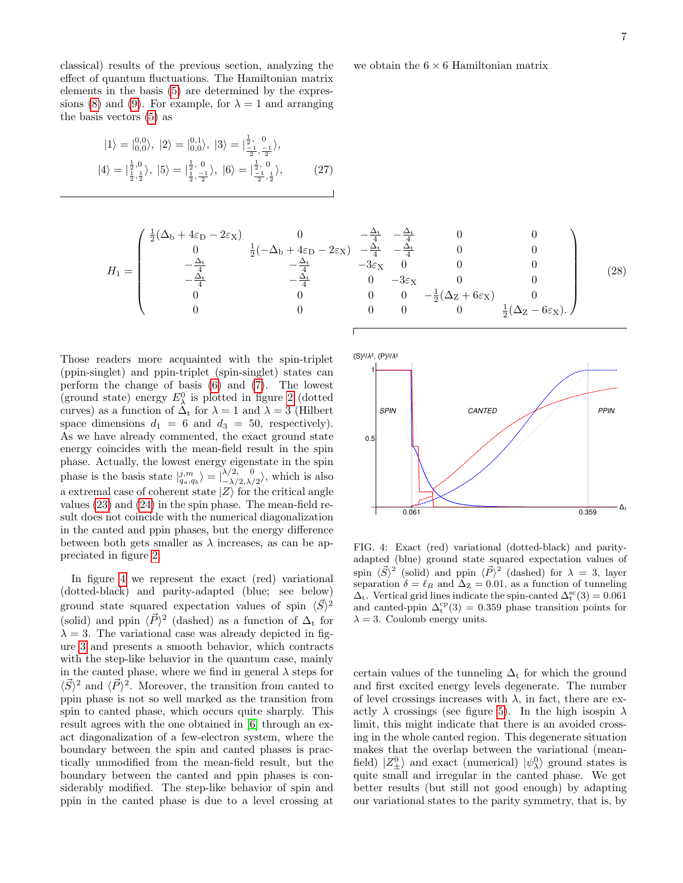classical) results of the previous section, analyzing the effect of quantum fluctuations. The Hamiltonian matrix elements in the basis [\(5\)](#page-2-1) are determined by the expres-sions [\(8\)](#page-2-2) and [\(9\)](#page-2-3). For example, for  $\lambda = 1$  and arranging the basis vectors [\(5\)](#page-2-1) as

$$
|1\rangle = |_{0,0}^{0,0}\rangle, |2\rangle = |_{0,0}^{0,1}\rangle, |3\rangle = |\frac{\frac{1}{2}, 0}{\frac{-1}{2}, \frac{-1}{2}}\rangle, |4\rangle = |\frac{\frac{1}{2},0}{\frac{1}{2}, \frac{1}{2}}\rangle, |5\rangle = |\frac{\frac{1}{2}, 0}{\frac{1}{2}, \frac{-1}{2}}\rangle, |6\rangle = |\frac{\frac{1}{2}, 0}{\frac{-1}{2}, \frac{1}{2}}\rangle, \tag{27}
$$

$$
H_{1} = \begin{pmatrix} \frac{1}{2}(\Delta_{b} + 4\varepsilon_{D} - 2\varepsilon_{X}) & 0 & -\frac{\Delta_{t}}{4} & -\frac{\Delta_{t}}{4} & 0 & 0\\ 0 & \frac{1}{2}(-\Delta_{b} + 4\varepsilon_{D} - 2\varepsilon_{X}) & -\frac{\Delta_{t}}{4} & -\frac{\Delta_{t}}{4} & 0 & 0\\ -\frac{\Delta_{t}}{4} & -\frac{\Delta_{t}}{4} & -3\varepsilon_{X} & 0 & 0 & 0\\ 0 & -\frac{\Delta_{t}}{4} & 0 & -3\varepsilon_{X} & 0 & 0\\ 0 & 0 & 0 & 0 & -\frac{1}{2}(\Delta_{Z} + 6\varepsilon_{X}) & 0\\ 0 & 0 & 0 & 0 & \frac{1}{2}(\Delta_{Z} - 6\varepsilon_{X}). \end{pmatrix}
$$
(28)

Those readers more acquainted with the spin-triplet (ppin-singlet) and ppin-triplet (spin-singlet) states can perform the change of basis [\(6\)](#page-2-4) and [\(7\)](#page-2-5). The lowest (ground state) energy  $E_{\lambda}^{0}$  is plotted in figure [2](#page-5-1) (dotted curves) as a function of  $\Delta_t$  for  $\lambda = 1$  and  $\lambda = 3$  (Hilbert space dimensions  $d_1 = 6$  and  $d_3 = 50$ , respectively). As we have already commented, the exact ground state energy coincides with the mean-field result in the spin phase. Actually, the lowest energy eigenstate in the spin phase is the basis state  $|j_m \rangle = \frac{\lambda}{2} \lambda_{2,\lambda}^{0}$  $\langle \frac{\lambda}{2}, \frac{\lambda}{2}, \frac{\lambda}{2} \rangle$ , which is also a extremal case of coherent state  $|Z\rangle$  for the critical angle values [\(23\)](#page-4-2) and [\(24\)](#page-4-5) in the spin phase. The mean-field result does not coincide with the numerical diagonalization in the canted and ppin phases, but the energy difference between both gets smaller as  $\lambda$  increases, as can be appreciated in figure [2.](#page-5-1)

In figure [4](#page-6-0) we represent the exact (red) variational (dotted-black) and parity-adapted (blue; see below) ground state squared expectation values of spin  $\langle \vec{S} \rangle^2$ (solid) and ppin  $\langle \vec{P} \rangle^2$  (dashed) as a function of  $\Delta_t$  for  $\lambda = 3$ . The variational case was already depicted in figure [3](#page-5-2) and presents a smooth behavior, which contracts with the step-like behavior in the quantum case, mainly in the canted phase, where we find in general  $\lambda$  steps for  $\langle \vec{S} \rangle^2$  and  $\langle \vec{P} \rangle^2$ . Moreover, the transition from canted to ppin phase is not so well marked as the transition from spin to canted phase, which occurs quite sharply. This result agrees with the one obtained in [\[6\]](#page-10-14) through an exact diagonalization of a few-electron system, where the boundary between the spin and canted phases is practically unmodified from the mean-field result, but the boundary between the canted and ppin phases is considerably modified. The step-like behavior of spin and ppin in the canted phase is due to a level crossing at



<span id="page-6-0"></span>FIG. 4: Exact (red) variational (dotted-black) and parityadapted (blue) ground state squared expectation values of spin  $\langle \vec{S} \rangle^2$  (solid) and ppin  $\langle \vec{P} \rangle^2$  (dashed) for  $\lambda = 3$ , layer separation  $\delta = \ell_B$  and  $\Delta_Z = 0.01$ , as a function of tunneling  $\Delta_t$ . Vertical grid lines indicate the spin-canted  $\Delta_t^{sc}(3) = 0.061$ and canted-ppin  $\Delta_t^{cp}(3) = 0.359$  phase transition points for  $\lambda = 3$ . Coulomb energy units.

certain values of the tunneling  $\Delta_t$  for which the ground and first excited energy levels degenerate. The number of level crossings increases with  $\lambda$ , in fact, there are exactly  $\lambda$  crossings (see figure [5\)](#page-7-0). In the high isospin  $\lambda$ limit, this might indicate that there is an avoided crossing in the whole canted region. This degenerate situation makes that the overlap between the variational (meanfield)  $|Z_{\pm}^0\rangle$  and exact (numerical)  $|\psi_{\lambda}^0\rangle$  ground states is quite small and irregular in the canted phase. We get better results (but still not good enough) by adapting our variational states to the parity symmetry, that is, by

we obtain the  $6 \times 6$  Hamiltonian matrix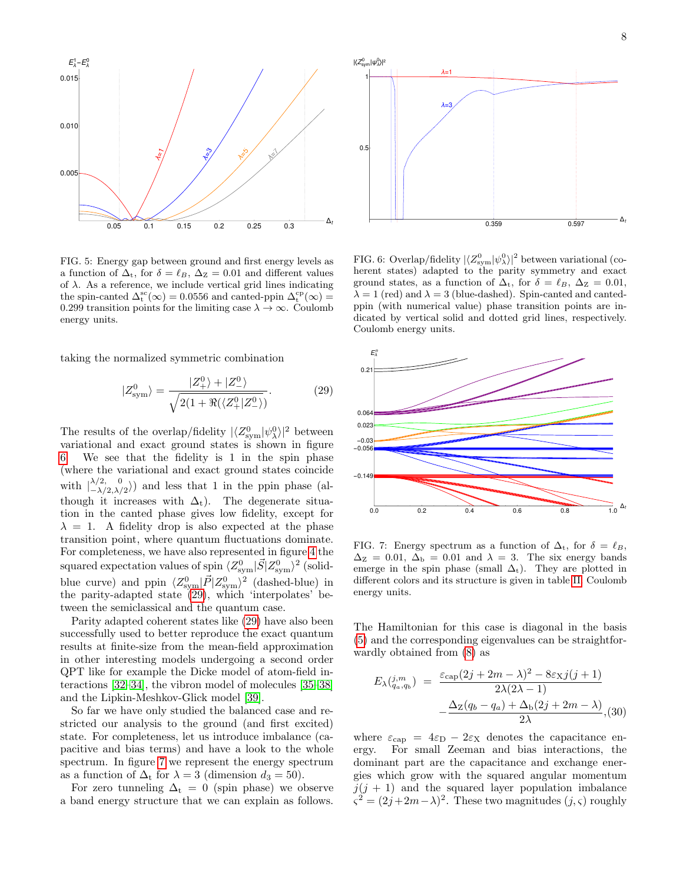

<span id="page-7-0"></span>FIG. 5: Energy gap between ground and first energy levels as a function of  $\Delta_t$ , for  $\delta = \ell_B$ ,  $\Delta_z = 0.01$  and different values of  $\lambda$ . As a reference, we include vertical grid lines indicating the spin-canted  $\Delta_t^{\rm sc}(\infty) = 0.0556$  and canted-ppin  $\Delta_t^{\rm cp}(\infty) =$ 0.299 transition points for the limiting case  $\lambda \to \infty$ . Coulomb energy units.

taking the normalized symmetric combination

<span id="page-7-2"></span>
$$
|Z_{\text{sym}}^0\rangle = \frac{|Z_{+}^0\rangle + |Z_{-}^0\rangle}{\sqrt{2(1 + \Re(\langle Z_{+}^0 | Z_{-}^0 \rangle))}}.\tag{29}
$$

The results of the overlap/fidelity  $|\langle Z_{\rm sym}^0|\psi_\lambda^0\rangle|^2$  between variational and exact ground states is shown in figure [6.](#page-7-1) We see that the fidelity is 1 in the spin phase (where the variational and exact ground states coincide with  $\begin{bmatrix} \lambda/2, & 0 \\ -\lambda/2, & \lambda \end{bmatrix}$  $\langle \frac{\lambda}{2}, \frac{\nu}{2}, \frac{\nu}{2} \rangle$  and less that 1 in the ppin phase (although it increases with  $\Delta_t$ ). The degenerate situation in the canted phase gives low fidelity, except for  $\lambda = 1$ . A fidelity drop is also expected at the phase transition point, where quantum fluctuations dominate. For completeness, we have also represented in figure [4](#page-6-0) the squared expectation values of spin  $\langle Z_{\rm sym}^0 | \vec{S} | Z_{\rm sym}^0 \rangle^2$  (solidblue curve) and ppin  $\langle Z_{sym}^0 | \vec{P} | Z_{sym}^0 \rangle^2$  (dashed-blue) in the parity-adapted state [\(29\)](#page-7-2), which 'interpolates' between the semiclassical and the quantum case.

Parity adapted coherent states like [\(29\)](#page-7-2) have also been successfully used to better reproduce the exact quantum results at finite-size from the mean-field approximation in other interesting models undergoing a second order QPT like for example the Dicke model of atom-field interactions [\[32](#page-11-8)[–34\]](#page-11-9), the vibron model of molecules [\[35](#page-11-10)[–38\]](#page-11-11) and the Lipkin-Meshkov-Glick model [\[39\]](#page-11-12).

So far we have only studied the balanced case and restricted our analysis to the ground (and first excited) state. For completeness, let us introduce imbalance (capacitive and bias terms) and have a look to the whole spectrum. In figure [7](#page-7-3) we represent the energy spectrum as a function of  $\Delta_t$  for  $\lambda = 3$  (dimension  $d_3 = 50$ ).

For zero tunneling  $\Delta_t = 0$  (spin phase) we observe a band energy structure that we can explain as follows.



<span id="page-7-1"></span>FIG. 6: Overlap/fidelity  $|\langle Z_{sym}^0|\psi_\lambda^0\rangle|^2$  between variational (coherent states) adapted to the parity symmetry and exact ground states, as a function of  $\Delta_t$ , for  $\delta = \ell_B$ ,  $\Delta_z = 0.01$ ,  $\lambda = 1$  (red) and  $\lambda = 3$  (blue-dashed). Spin-canted and cantedppin (with numerical value) phase transition points are indicated by vertical solid and dotted grid lines, respectively. Coulomb energy units.



<span id="page-7-3"></span>FIG. 7: Energy spectrum as a function of  $\Delta_t$ , for  $\delta = \ell_B$ ,  $\Delta z = 0.01$ ,  $\Delta_b = 0.01$  and  $\lambda = 3$ . The six energy bands emerge in the spin phase (small  $\Delta_t$ ). They are plotted in different colors and its structure is given in table [II.](#page-8-1) Coulomb energy units.

The Hamiltonian for this case is diagonal in the basis [\(5\)](#page-2-1) and the corresponding eigenvalues can be straightforwardly obtained from [\(8\)](#page-2-2) as

$$
E_{\lambda}(\hat{q}_a, q_b) = \frac{\varepsilon_{\text{cap}}(2j + 2m - \lambda)^2 - 8\varepsilon_{\text{X}}j(j+1)}{2\lambda(2\lambda - 1)}
$$

$$
-\frac{\Delta_{\text{Z}}(q_b - q_a) + \Delta_{\text{b}}(2j + 2m - \lambda)}{2\lambda}, (30)
$$

where  $\varepsilon_{\text{cap}} = 4\varepsilon_{\text{D}} - 2\varepsilon_{\text{X}}$  denotes the capacitance energy. For small Zeeman and bias interactions, the dominant part are the capacitance and exchange energies which grow with the squared angular momentum  $j(j + 1)$  and the squared layer population imbalance  $\zeta^2 = (2j+2m-\lambda)^2$ . These two magnitudes  $(j,\zeta)$  roughly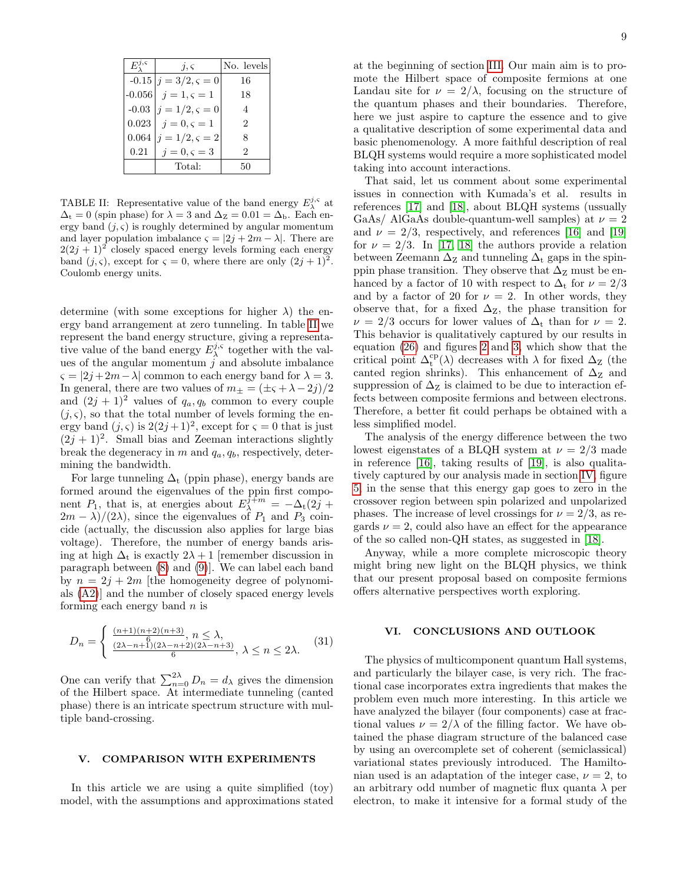| $E^{j,\varsigma}$ | $\overline{\imath}, \overline{\varsigma}$ | No. levels     |
|-------------------|-------------------------------------------|----------------|
|                   | $-0.15   i = 3/2, \varsigma = 0$          | 16             |
|                   | $-0.056  j = 1, \varsigma = 1$            | 18             |
|                   | $-0.03$ $j = 1/2, \varsigma = 0$          | $\overline{4}$ |
|                   | $0.023   j = 0, \varsigma = 1$            | $\mathcal{D}$  |
|                   | $0.064   j = 1/2, \varsigma = 2$          | 8              |
| 0.21              | $j=0, \varsigma=3$                        | 2              |
|                   | Total:                                    | 50             |

<span id="page-8-1"></span>TABLE II: Representative value of the band energy  $E_{\lambda}^{j,s}$  at  $\Delta_t = 0$  (spin phase) for  $\lambda = 3$  and  $\Delta_z = 0.01 = \Delta_b$ . Each energy band  $(j, \varsigma)$  is roughly determined by angular momentum and layer population imbalance  $\varsigma = |2j + 2m - \lambda|$ . There are  $2(2j + 1)^2$  closely spaced energy levels forming each energy band  $(j, \varsigma)$ , except for  $\varsigma = 0$ , where there are only  $(2j + 1)^2$ . Coulomb energy units.

determine (with some exceptions for higher  $\lambda$ ) the energy band arrangement at zero tunneling. In table [II](#page-8-1) we represent the band energy structure, giving a representative value of the band energy  $E_{\lambda}^{j,s}$  together with the values of the angular momentum  $j$  and absolute imbalance  $\varsigma = |2j+2m-\lambda|$  common to each energy band for  $\lambda = 3$ . In general, there are two values of  $m_{\pm} = (\pm \varsigma + \lambda - 2j)/2$ and  $(2j + 1)^2$  values of  $q_a, q_b$  common to every couple  $(j, \varsigma)$ , so that the total number of levels forming the energy band  $(j, \varsigma)$  is  $2(2j+1)^2$ , except for  $\varsigma = 0$  that is just  $(2j + 1)^2$ . Small bias and Zeeman interactions slightly break the degeneracy in m and  $q_a, q_b$ , respectively, determining the bandwidth.

For large tunneling  $\Delta_t$  (ppin phase), energy bands are formed around the eigenvalues of the ppin first component  $P_1$ , that is, at energies about  $E_{\lambda}^{\hat{j}+m} = -\Delta_t(2\hat{j} +$  $2m - \lambda$ /(2 $\lambda$ ), since the eigenvalues of  $P_1$  and  $P_3$  coincide (actually, the discussion also applies for large bias voltage). Therefore, the number of energy bands arising at high  $\Delta_t$  is exactly  $2\lambda + 1$  [remember discussion in paragraph between [\(8\)](#page-2-2) and [\(9\)](#page-2-3)]. We can label each band by  $n = 2j + 2m$  [the homogeneity degree of polynomials [\(A2\)](#page-9-2)] and the number of closely spaced energy levels forming each energy band  $n$  is

$$
D_n = \begin{cases} \frac{(n+1)(n+2)(n+3)}{6}, & n \le \lambda, \\ \frac{(2\lambda - n + 1)(2\lambda - n + 2)(2\lambda - n + 3)}{6}, & \lambda \le n \le 2\lambda. \end{cases}
$$
(31)

One can verify that  $\sum_{n=0}^{2\lambda} D_n = d_\lambda$  gives the dimension of the Hilbert space. At intermediate tunneling (canted phase) there is an intricate spectrum structure with multiple band-crossing.

#### <span id="page-8-0"></span>V. COMPARISON WITH EXPERIMENTS

In this article we are using a quite simplified (toy) model, with the assumptions and approximations stated at the beginning of section [III.](#page-2-0) Our main aim is to promote the Hilbert space of composite fermions at one Landau site for  $\nu = 2/\lambda$ , focusing on the structure of the quantum phases and their boundaries. Therefore, here we just aspire to capture the essence and to give a qualitative description of some experimental data and basic phenomenology. A more faithful description of real BLQH systems would require a more sophisticated model taking into account interactions.

That said, let us comment about some experimental issues in connection with Kumada's et al. results in references [\[17\]](#page-10-8) and [\[18\]](#page-10-15), about BLQH systems (ussually GaAs/ AlGaAs double-quantum-well samples) at  $\nu = 2$ and  $\nu = 2/3$ , respectively, and references [\[16\]](#page-10-7) and [\[19\]](#page-10-9) for  $\nu = 2/3$ . In [\[17,](#page-10-8) [18\]](#page-10-15) the authors provide a relation between Zeemann  $\Delta$ <sub>z</sub> and tunneling  $\Delta$ <sub>t</sub> gaps in the spinppin phase transition. They observe that  $\Delta$ <sub>Z</sub> must be enhanced by a factor of 10 with respect to  $\Delta_t$  for  $\nu = 2/3$ and by a factor of 20 for  $\nu = 2$ . In other words, they observe that, for a fixed  $\Delta$ <sub>Z</sub>, the phase transition for  $\nu = 2/3$  occurs for lower values of  $\Delta_t$  than for  $\nu = 2$ . This behavior is qualitatively captured by our results in equation [\(26\)](#page-5-4) and figures [2](#page-5-1) and [3,](#page-5-2) which show that the critical point  $\Delta_t^{cp}(\lambda)$  decreases with  $\lambda$  for fixed  $\Delta_z$  (the canted region shrinks). This enhancement of  $\Delta$ <sub>Z</sub> and suppression of  $\Delta$ <sub>Z</sub> is claimed to be due to interaction effects between composite fermions and between electrons. Therefore, a better fit could perhaps be obtained with a less simplified model.

The analysis of the energy difference between the two lowest eigenstates of a BLQH system at  $\nu = 2/3$  made in reference [\[16\]](#page-10-7), taking results of [\[19\]](#page-10-9), is also qualitatively captured by our analysis made in section [IV,](#page-5-0) figure [5,](#page-7-0) in the sense that this energy gap goes to zero in the crossover region between spin polarized and unpolarized phases. The increase of level crossings for  $\nu = 2/3$ , as regards  $\nu = 2$ , could also have an effect for the appearance of the so called non-QH states, as suggested in [\[18\]](#page-10-15).

Anyway, while a more complete microscopic theory might bring new light on the BLQH physics, we think that our present proposal based on composite fermions offers alternative perspectives worth exploring.

# VI. CONCLUSIONS AND OUTLOOK

The physics of multicomponent quantum Hall systems, and particularly the bilayer case, is very rich. The fractional case incorporates extra ingredients that makes the problem even much more interesting. In this article we have analyzed the bilayer (four components) case at fractional values  $\nu = 2/\lambda$  of the filling factor. We have obtained the phase diagram structure of the balanced case by using an overcomplete set of coherent (semiclassical) variational states previously introduced. The Hamiltonian used is an adaptation of the integer case,  $\nu = 2$ , to an arbitrary odd number of magnetic flux quanta  $\lambda$  per electron, to make it intensive for a formal study of the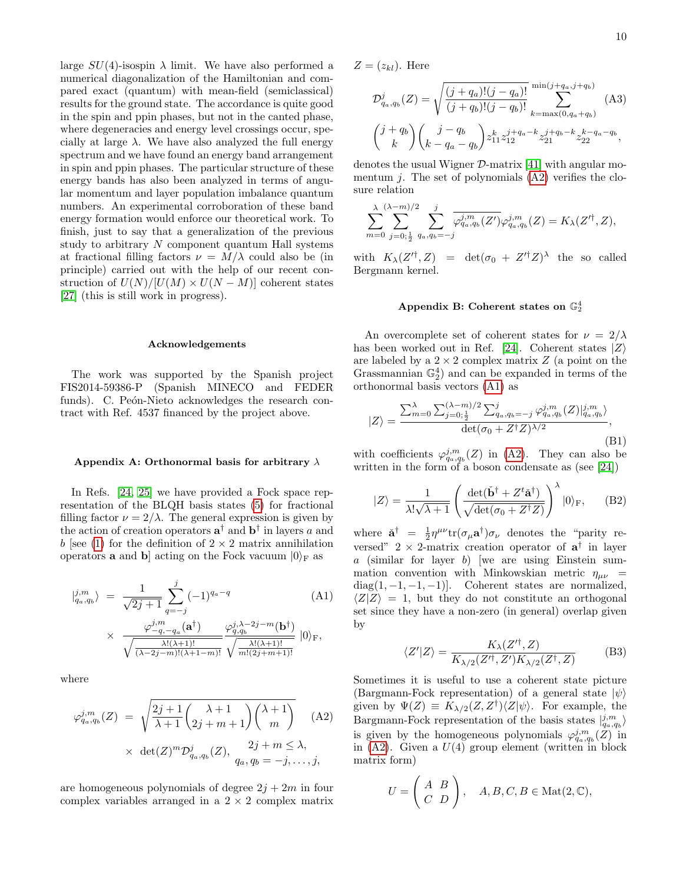10

large  $SU(4)$ -isospin  $\lambda$  limit. We have also performed a numerical diagonalization of the Hamiltonian and compared exact (quantum) with mean-field (semiclassical) results for the ground state. The accordance is quite good in the spin and ppin phases, but not in the canted phase, where degeneracies and energy level crossings occur, specially at large  $\lambda$ . We have also analyzed the full energy spectrum and we have found an energy band arrangement in spin and ppin phases. The particular structure of these energy bands has also been analyzed in terms of angular momentum and layer population imbalance quantum numbers. An experimental corroboration of these band energy formation would enforce our theoretical work. To finish, just to say that a generalization of the previous study to arbitrary  $N$  component quantum Hall systems at fractional filling factors  $\nu = M/\lambda$  could also be (in principle) carried out with the help of our recent construction of  $U(N)/[U(M) \times U(N-M)]$  coherent states [\[27\]](#page-11-3) (this is still work in progress).

#### Acknowledgements

The work was supported by the Spanish project FIS2014-59386-P (Spanish MINECO and FEDER funds). C. Peón-Nieto acknowledges the research contract with Ref. 4537 financed by the project above.

#### <span id="page-9-0"></span>Appendix A: Orthonormal basis for arbitrary  $\lambda$

In Refs. [\[24,](#page-11-1) [25\]](#page-11-6) we have provided a Fock space representation of the BLQH basis states [\(5\)](#page-2-1) for fractional filling factor  $\nu = 2/\lambda$ . The general expression is given by the action of creation operators  $a^{\dagger}$  and  $b^{\dagger}$  in layers a and b [see [\(1\)](#page-1-3) for the definition of  $2 \times 2$  matrix annihilation operators **a** and **b** acting on the Fock vacuum  $|0\rangle_F$  as

<span id="page-9-3"></span>
$$
|j_{q_a,q_b}^{j,m}\rangle = \frac{1}{\sqrt{2j+1}} \sum_{q=-j}^{j} (-1)^{q_a-q} \tag{A1}
$$

$$
\times \frac{\varphi_{-q,-q_a}^{j,m}(\mathbf{a}^\dagger)}{\sqrt{\frac{\lambda!(\lambda+1)!}{(\lambda-2j-m)!(\lambda+1-m)!}} \sqrt{\frac{\lambda!(\lambda+1)!}{m!(2j+m+1)!}}} |0\rangle_{\mathbf{F}},
$$

where

<span id="page-9-2"></span>
$$
\varphi_{q_a, q_b}^{j,m}(Z) = \sqrt{\frac{2j+1}{\lambda+1} \left(\frac{\lambda+1}{2j+m+1}\right) \left(\frac{\lambda+1}{m}\right)} \times \det(Z)^m \mathcal{D}_{q_a, q_b}^j(Z), \frac{2j+m \le \lambda}{q_a, q_b = -j, \dots, j},
$$
 (A2)

are homogeneous polynomials of degree  $2j + 2m$  in four complex variables arranged in a  $2 \times 2$  complex matrix  $Z=(z_{kl})$ . Here

$$
\mathcal{D}_{q_a,q_b}^j(Z) = \sqrt{\frac{(j+q_a)!(j-q_a)!}{(j+q_b)!(j-q_b)!}} \sum_{k=\max(0,q_a+q_b)}^{\min(j+q_a,j+q_b)} (A3)
$$

$$
\binom{j+q_b}{k} \binom{j-q_b}{k-q_a-q_b} z_{11}^{k} z_{12}^{j+q_a-k} z_{21}^{j+q_b-k} z_{22}^{k-q_a-q_b},
$$

denotes the usual Wigner  $\mathcal{D}$ -matrix [\[41\]](#page-11-14) with angular momentum  $j$ . The set of polynomials  $(A2)$  verifies the closure relation

$$
\sum_{m=0}^{\lambda} \sum_{j=0,\frac{1}{2}}^{(\lambda-m)/2} \sum_{q_a,q_b=-j}^{j} \overline{\varphi_{q_a,q_b}^{j,m}(Z')} \varphi_{q_a,q_b}^{j,m}(Z) = K_{\lambda}(Z'^{\dagger},Z),
$$

with  $K_{\lambda}(Z^{\prime\dagger}, Z) = \det(\sigma_0 + Z^{\prime\dagger} Z)^{\lambda}$  the so called Bergmann kernel.

# <span id="page-9-1"></span>Appendix B: Coherent states on  $\mathbb{G}_2^4$

An overcomplete set of coherent states for  $\nu = 2/\lambda$ has been worked out in Ref. [\[24\]](#page-11-1). Coherent states  $|Z\rangle$ are labeled by a  $2 \times 2$  complex matrix  $Z$  (a point on the Grassmannian  $\mathbb{G}_2^4$  and can be expanded in terms of the orthonormal basis vectors [\(A1\)](#page-9-3) as

$$
|Z\rangle = \frac{\sum_{m=0}^{\lambda} \sum_{j=0;\frac{1}{2}}^{(\lambda-m)/2} \sum_{q_a,q_b=-j}^{j} \varphi_{q_a,q_b}^{j,m}(Z)|_{q_a,q_b}^{j,m}\rangle}{\det(\sigma_0 + Z^{\dagger}Z)^{\lambda/2}},
$$
(B1)

with coefficients  $\varphi_{q_a,q_b}^{j,m}(Z)$  in [\(A2\)](#page-9-2). They can also be written in the form of a boson condensate as (see [\[24\]](#page-11-1))

$$
|Z\rangle = \frac{1}{\lambda! \sqrt{\lambda+1}} \left( \frac{\det(\check{\mathbf{b}}^{\dagger} + Z^t \check{\mathbf{a}}^{\dagger})}{\sqrt{\det(\sigma_0 + Z^{\dagger} Z)}} \right)^{\lambda} |0\rangle_{\mathrm{F}}, \quad \text{(B2)}
$$

where  $\ddot{\mathbf{a}}^{\dagger} = \frac{1}{2} \eta^{\mu \nu} \text{tr}(\sigma_{\mu} \mathbf{a}^{\dagger}) \sigma_{\nu}$  denotes the "parity reversed"  $2 \times 2$ -matrix creation operator of  $a^{\dagger}$  in layer a (similar for layer b) [we are using Einstein summation convention with Minkowskian metric  $\eta_{\mu\nu}$  =  $diag(1, -1, -1, -1)$ ]. Coherent states are normalized,  $\langle Z|Z\rangle = 1$ , but they do not constitute an orthogonal set since they have a non-zero (in general) overlap given by

$$
\langle Z'|Z\rangle = \frac{K_{\lambda}(Z'^{\dagger},Z)}{K_{\lambda/2}(Z'^{\dagger},Z')K_{\lambda/2}(Z^{\dagger},Z)} \tag{B3}
$$

Sometimes it is useful to use a coherent state picture (Bargmann-Fock representation) of a general state  $|\psi\rangle$ given by  $\Psi(Z) \equiv K_{\lambda/2}(Z, Z^{\dagger}) \langle Z | \psi \rangle$ . For example, the Bargmann-Fock representation of the basis states  $|_{q_a,q_b}^{j,m}\rangle$ is given by the homogeneous polynomials  $\varphi_{q_a,q_b}^{j,m}(Z)$  in in  $(A2)$ . Given a  $U(4)$  group element (written in block matrix form)

$$
U = \left(\begin{array}{cc} A & B \\ C & D \end{array}\right), \quad A, B, C, B \in \text{Mat}(2, \mathbb{C}),
$$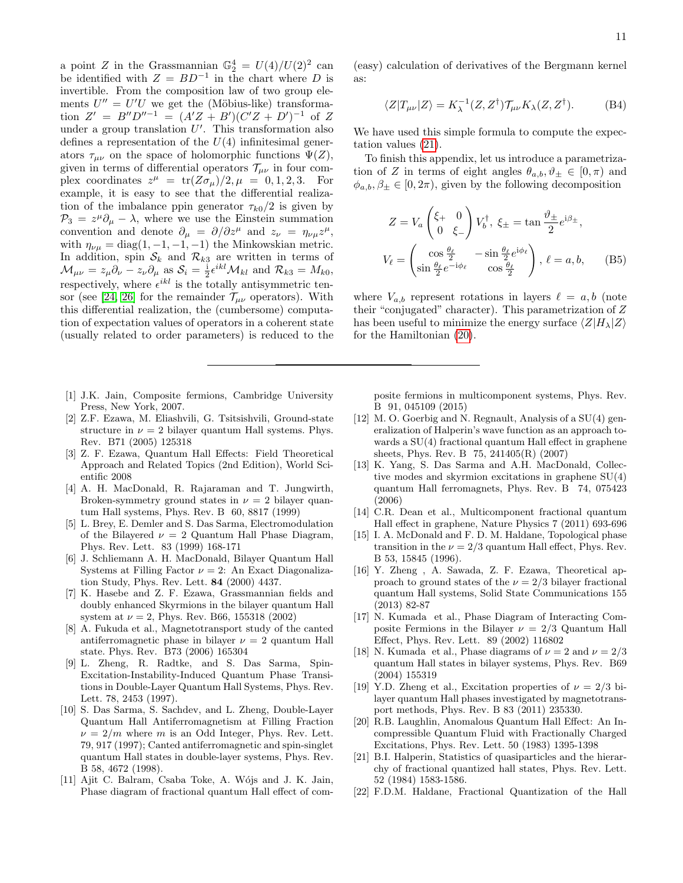a point Z in the Grassmannian  $\mathbb{G}_2^4 = U(4)/U(2)^2$  can be identified with  $Z = BD^{-1}$  in the chart where D is invertible. From the composition law of two group elements  $U'' = U'U$  we get the (Möbius-like) transformation  $Z' = B''D''^{-1} = (A'Z + B')(C'Z + D')^{-1}$  of Z under a group translation  $U'$ . This transformation also defines a representation of the  $U(4)$  infinitesimal generators  $\tau_{\mu\nu}$  on the space of holomorphic functions  $\Psi(Z)$ , given in terms of differential operators  $\mathcal{T}_{\mu\nu}$  in four complex coordinates  $z^{\mu} = \text{tr}(Z\sigma_{\mu})/2, \mu = 0, 1, 2, 3$ . For example, it is easy to see that the differential realization of the imbalance ppin generator  $\tau_{k0}/2$  is given by  $\mathcal{P}_3 = z^{\mu}\partial_{\mu} - \lambda$ , where we use the Einstein summation convention and denote  $\partial_{\mu} = \partial/\partial z^{\mu}$  and  $z_{\nu} = \eta_{\nu\mu}z^{\mu}$ , with  $\eta_{\nu\mu} = \text{diag}(1, -1, -1, -1)$  the Minkowskian metric. In addition, spin  $S_k$  and  $\mathcal{R}_{k3}$  are written in terms of  $\mathcal{M}_{\mu\nu} = z_{\mu}\partial_{\nu} - z_{\nu}\partial_{\mu}$  as  $\mathcal{S}_i = \frac{1}{2}\epsilon^{ikl}\mathcal{M}_{kl}$  and  $\mathcal{R}_{k3} = M_{k0}$ , respectively, where  $\epsilon^{ikl}$  is the totally antisymmetric ten-sor (see [\[24,](#page-11-1) [26\]](#page-11-2) for the remainder  $\mathcal{T}_{\mu\nu}$  operators). With this differential realization, the (cumbersome) computation of expectation values of operators in a coherent state (usually related to order parameters) is reduced to the

- <span id="page-10-0"></span>[1] J.K. Jain, Composite fermions, Cambridge University Press, New York, 2007.
- <span id="page-10-1"></span>[2] Z.F. Ezawa, M. Eliashvili, G. Tsitsishvili, Ground-state structure in  $\nu = 2$  bilayer quantum Hall systems. Phys. Rev. B71 (2005) 125318
- <span id="page-10-3"></span>[3] Z. F. Ezawa, Quantum Hall Effects: Field Theoretical Approach and Related Topics (2nd Edition), World Scientific 2008
- [4] A. H. MacDonald, R. Rajaraman and T. Jungwirth, Broken-symmetry ground states in  $\nu = 2$  bilayer quantum Hall systems, Phys. Rev. B 60, 8817 (1999)
- [5] L. Brey, E. Demler and S. Das Sarma, Electromodulation of the Bilayered  $\nu = 2$  Quantum Hall Phase Diagram, Phys. Rev. Lett. 83 (1999) 168-171
- <span id="page-10-14"></span>[6] J. Schliemann A. H. MacDonald, Bilayer Quantum Hall Systems at Filling Factor  $\nu = 2$ : An Exact Diagonalization Study, Phys. Rev. Lett. 84 (2000) 4437.
- [7] K. Hasebe and Z. F. Ezawa, Grassmannian fields and doubly enhanced Skyrmions in the bilayer quantum Hall system at  $\nu = 2$ , Phys. Rev. B66, 155318 (2002)
- [8] A. Fukuda et al., Magnetotransport study of the canted antiferromagnetic phase in bilayer  $\nu = 2$  quantum Hall state. Phys. Rev. B73 (2006) 165304
- <span id="page-10-2"></span>[9] L. Zheng, R. Radtke, and S. Das Sarma, Spin-Excitation-Instability-Induced Quantum Phase Transitions in Double-Layer Quantum Hall Systems, Phys. Rev. Lett. 78, 2453 (1997).
- <span id="page-10-4"></span>[10] S. Das Sarma, S. Sachdev, and L. Zheng, Double-Layer Quantum Hall Antiferromagnetism at Filling Fraction  $\nu = 2/m$  where m is an Odd Integer, Phys. Rev. Lett. 79, 917 (1997); Canted antiferromagnetic and spin-singlet quantum Hall states in double-layer systems, Phys. Rev. B 58, 4672 (1998).
- [11] Ajit C. Balram, Csaba Toke, A. Wójs and J. K. Jain, Phase diagram of fractional quantum Hall effect of com-

(easy) calculation of derivatives of the Bergmann kernel as:

$$
\langle Z|T_{\mu\nu}|Z\rangle = K_{\lambda}^{-1}(Z,Z^{\dagger})\mathcal{T}_{\mu\nu}K_{\lambda}(Z,Z^{\dagger}).
$$
 (B4)

We have used this simple formula to compute the expectation values [\(21\)](#page-4-4).

To finish this appendix, let us introduce a parametrization of Z in terms of eight angles  $\theta_{a,b}, \vartheta_{\pm} \in [0, \pi)$  and  $\phi_{a,b}, \beta_{\pm} \in [0, 2\pi)$ , given by the following decomposition

<span id="page-10-13"></span>
$$
Z = V_a \begin{pmatrix} \xi_+ & 0\\ 0 & \xi_- \end{pmatrix} V_b^{\dagger}, \ \xi_{\pm} = \tan \frac{\vartheta_{\pm}}{2} e^{i\beta_{\pm}},
$$

$$
V_{\ell} = \begin{pmatrix} \cos \frac{\theta_{\ell}}{2} & -\sin \frac{\theta_{\ell}}{2} e^{i\phi_{\ell}}\\ \sin \frac{\theta_{\ell}}{2} e^{-i\phi_{\ell}} & \cos \frac{\theta_{\ell}}{2} \end{pmatrix}, \ \ell = a, b, \qquad (B5)
$$

where  $V_{a,b}$  represent rotations in layers  $\ell = a, b$  (note their "conjugated" character). This parametrization of Z has been useful to minimize the energy surface  $\langle Z|H_{\lambda}|Z\rangle$ for the Hamiltonian [\(20\)](#page-3-3).

posite fermions in multicomponent systems, Phys. Rev. B 91, 045109 (2015)

- [12] M. O. Goerbig and N. Regnault, Analysis of a SU(4) generalization of Halperin's wave function as an approach towards a SU(4) fractional quantum Hall effect in graphene sheets, Phys. Rev. B 75, 241405(R) (2007)
- [13] K. Yang, S. Das Sarma and A.H. MacDonald, Collective modes and skyrmion excitations in graphene SU(4) quantum Hall ferromagnets, Phys. Rev. B 74, 075423 (2006)
- <span id="page-10-5"></span>[14] C.R. Dean et al., Multicomponent fractional quantum Hall effect in graphene, Nature Physics 7 (2011) 693-696
- <span id="page-10-6"></span>[15] I. A. McDonald and F. D. M. Haldane, Topological phase transition in the  $\nu = 2/3$  quantum Hall effect, Phys. Rev. B 53, 15845 (1996).
- <span id="page-10-7"></span>[16] Y. Zheng , A. Sawada, Z. F. Ezawa, Theoretical approach to ground states of the  $\nu = 2/3$  bilayer fractional quantum Hall systems, Solid State Communications 155 (2013) 82-87
- <span id="page-10-8"></span>[17] N. Kumada et al., Phase Diagram of Interacting Composite Fermions in the Bilayer  $\nu = 2/3$  Quantum Hall Effect, Phys. Rev. Lett. 89 (2002) 116802
- <span id="page-10-15"></span>[18] N. Kumada et al., Phase diagrams of  $\nu = 2$  and  $\nu = 2/3$ quantum Hall states in bilayer systems, Phys. Rev. B69 (2004) 155319
- <span id="page-10-9"></span>[19] Y.D. Zheng et al., Excitation properties of  $\nu = 2/3$  bilayer quantum Hall phases investigated by magnetotransport methods, Phys. Rev. B 83 (2011) 235330.
- <span id="page-10-10"></span>[20] R.B. Laughlin, Anomalous Quantum Hall Effect: An Incompressible Quantum Fluid with Fractionally Charged Excitations, Phys. Rev. Lett. 50 (1983) 1395-1398
- <span id="page-10-11"></span>[21] B.I. Halperin, Statistics of quasiparticles and the hierarchy of fractional quantized hall states, Phys. Rev. Lett. 52 (1984) 1583-1586.
- <span id="page-10-12"></span>[22] F.D.M. Haldane, Fractional Quantization of the Hall